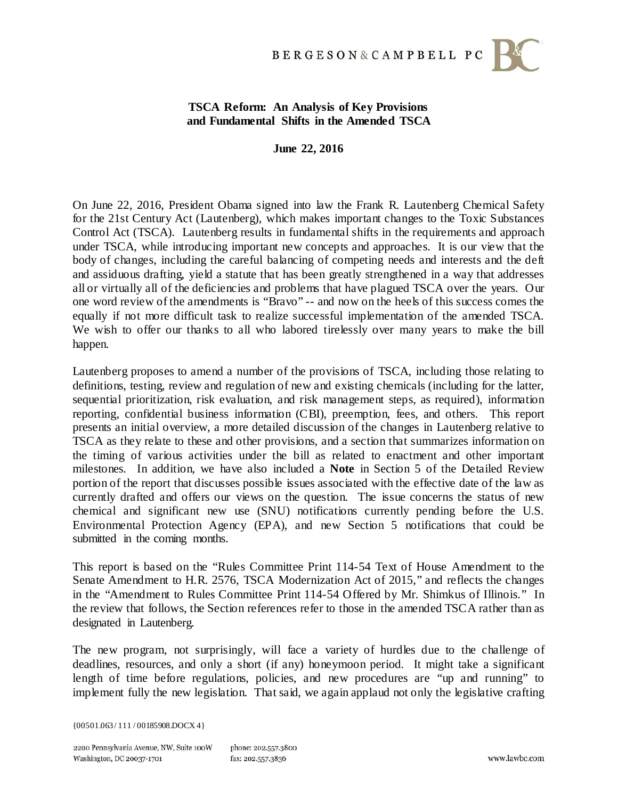

## **TSCA Reform: An Analysis of Key Provisions and Fundamental Shifts in the Amended TSCA**

**June 22, 2016**

On June 22, 2016, President Obama signed into law the Frank R. Lautenberg Chemical Safety for the 21st Century Act (Lautenberg), which makes important changes to the Toxic Substances Control Act (TSCA). Lautenberg results in fundamental shifts in the requirements and approach under TSCA, while introducing important new concepts and approaches. It is our view that the body of changes, including the careful balancing of competing needs and interests and the deft and assiduous drafting, yield a statute that has been greatly strengthened in a way that addresses all or virtually all of the deficiencies and problems that have plagued TSCA over the years. Our one word review of the amendments is "Bravo" -- and now on the heels of this success comes the equally if not more difficult task to realize successful implementation of the amended TSCA. We wish to offer our thanks to all who labored tirelessly over many years to make the bill happen.

Lautenberg proposes to amend a number of the provisions of TSCA, including those relating to definitions, testing, review and regulation of new and existing chemicals (including for the latter, sequential prioritization, risk evaluation, and risk management steps, as required), information reporting, confidential business information (CBI), preemption, fees, and others. This report presents an initial overview, a more detailed discussion of the changes in Lautenberg relative to TSCA as they relate to these and other provisions, and a section that summarizes information on the timing of various activities under the bill as related to enactment and other important milestones. In addition, we have also included a **Note** in Section 5 of the Detailed Review portion of the report that discusses possible issues associated with the effective date of the law as currently drafted and offers our views on the question. The issue concerns the status of new chemical and significant new use (SNU) notifications currently pending before the U.S. Environmental Protection Agency (EPA), and new Section 5 notifications that could be submitted in the coming months.

This report is based on the "Rules Committee Print 114-54 Text of House Amendment to the Senate Amendment to H.R. 2576, TSCA Modernization Act of 2015," and reflects the changes in the "Amendment to Rules Committee Print 114-54 Offered by Mr. Shimkus of Illinois." In the review that follows, the Section references refer to those in the amended TSCA rather than as designated in Lautenberg.

The new program, not surprisingly, will face a variety of hurdles due to the challenge of deadlines, resources, and only a short (if any) honeymoon period. It might take a significant length of time before regulations, policies, and new procedures are "up and running" to implement fully the new legislation. That said, we again applaud not only the legislative crafting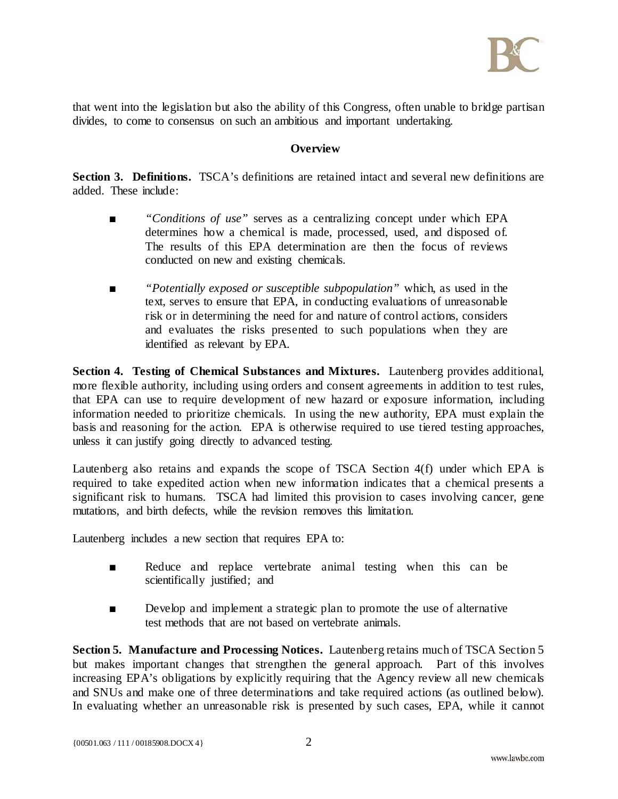

that went into the legislation but also the ability of this Congress, often unable to bridge partisan divides, to come to consensus on such an ambitious and important undertaking.

## **Overview**

**Section 3. Definitions.** TSCA's definitions are retained intact and several new definitions are added. These include:

- *"Conditions of use"* serves as a centralizing concept under which EPA determines how a chemical is made, processed, used, and disposed of. The results of this EPA determination are then the focus of reviews conducted on new and existing chemicals.
- *"Potentially exposed or susceptible subpopulation"* which, as used in the text, serves to ensure that EPA, in conducting evaluations of unreasonable risk or in determining the need for and nature of control actions, considers and evaluates the risks presented to such populations when they are identified as relevant by EPA.

**Section 4. Testing of Chemical Substances and Mixtures.** Lautenberg provides additional, more flexible authority, including using orders and consent agreements in addition to test rules, that EPA can use to require development of new hazard or exposure information, including information needed to prioritize chemicals. In using the new authority, EPA must explain the basis and reasoning for the action. EPA is otherwise required to use tiered testing approaches, unless it can justify going directly to advanced testing.

Lautenberg also retains and expands the scope of TSCA Section 4(f) under which EPA is required to take expedited action when new information indicates that a chemical presents a significant risk to humans. TSCA had limited this provision to cases involving cancer, gene mutations, and birth defects, while the revision removes this limitation.

Lautenberg includes a new section that requires EPA to:

- Reduce and replace vertebrate animal testing when this can be scientifically justified; and
- Develop and implement a strategic plan to promote the use of alternative test methods that are not based on vertebrate animals.

**Section 5. Manufacture and Processing Notices.** Lautenberg retains much of TSCA Section 5 but makes important changes that strengthen the general approach. Part of this involves increasing EPA's obligations by explicitly requiring that the Agency review all new chemicals and SNUs and make one of three determinations and take required actions (as outlined below). In evaluating whether an unreasonable risk is presented by such cases, EPA, while it cannot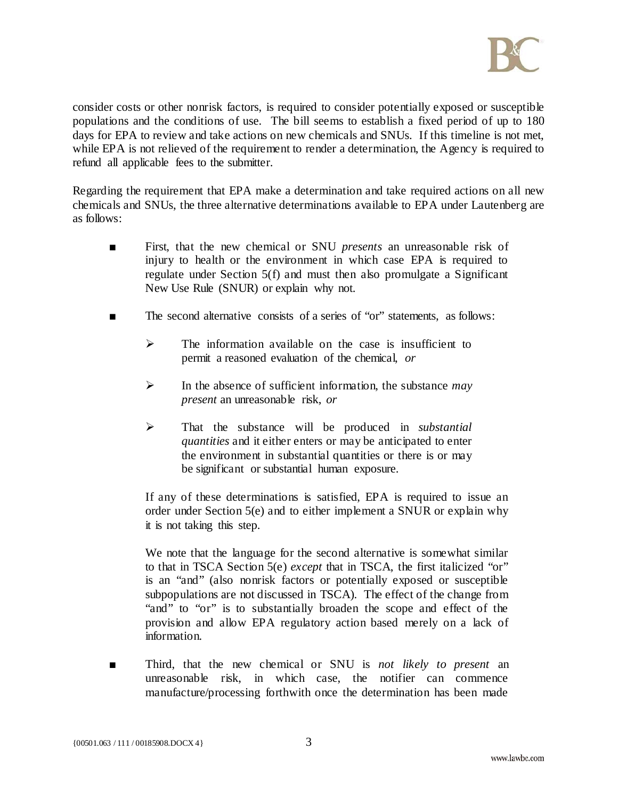

consider costs or other nonrisk factors, is required to consider potentially exposed or susceptible populations and the conditions of use. The bill seems to establish a fixed period of up to 180 days for EPA to review and take actions on new chemicals and SNUs. If this timeline is not met, while EPA is not relieved of the requirement to render a determination, the Agency is required to refund all applicable fees to the submitter.

Regarding the requirement that EPA make a determination and take required actions on all new chemicals and SNUs, the three alternative determinations available to EPA under Lautenberg are as follows:

- First, that the new chemical or SNU *presents* an unreasonable risk of injury to health or the environment in which case EPA is required to regulate under Section 5(f) and must then also promulgate a Significant New Use Rule (SNUR) or explain why not.
- The second alternative consists of a series of "or" statements, as follows:
	- $\triangleright$  The information available on the case is insufficient to permit a reasoned evaluation of the chemical, *or*
	- In the absence of sufficient information, the substance *may present* an unreasonable risk, *or*
	- That the substance will be produced in *substantial quantities* and it either enters or may be anticipated to enter the environment in substantial quantities or there is or may be significant or substantial human exposure.

If any of these determinations is satisfied, EPA is required to issue an order under Section 5(e) and to either implement a SNUR or explain why it is not taking this step.

We note that the language for the second alternative is somewhat similar to that in TSCA Section 5(e) *except* that in TSCA, the first italicized "or" is an "and" (also nonrisk factors or potentially exposed or susceptible subpopulations are not discussed in TSCA). The effect of the change from "and" to "or" is to substantially broaden the scope and effect of the provision and allow EPA regulatory action based merely on a lack of information.

Third, that the new chemical or SNU is *not likely to present* an unreasonable risk, in which case, the notifier can commence manufacture/processing forthwith once the determination has been made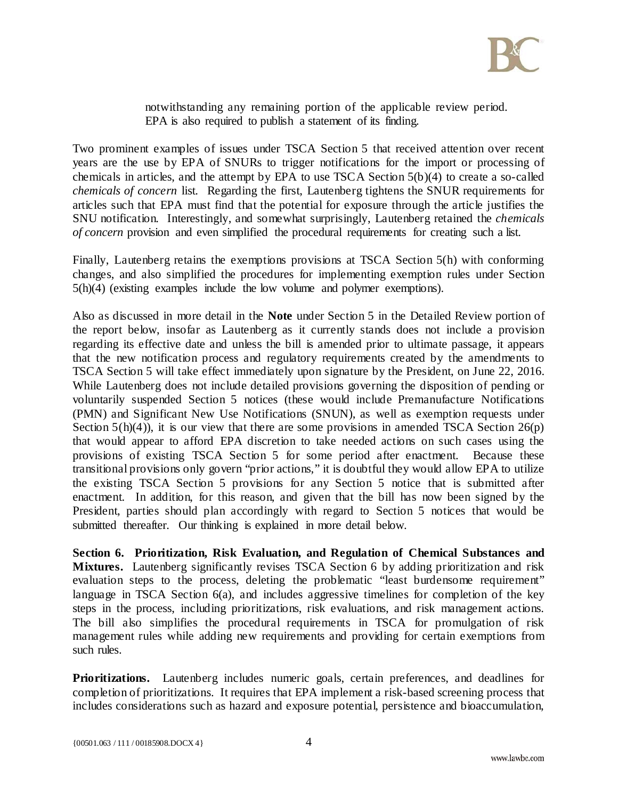

notwithstanding any remaining portion of the applicable review period. EPA is also required to publish a statement of its finding.

Two prominent examples of issues under TSCA Section 5 that received attention over recent years are the use by EPA of SNURs to trigger notifications for the import or processing of chemicals in articles, and the attempt by EPA to use TSCA Section 5(b)(4) to create a so-called *chemicals of concern* list. Regarding the first, Lautenberg tightens the SNUR requirements for articles such that EPA must find that the potential for exposure through the article justifies the SNU notification. Interestingly, and somewhat surprisingly, Lautenberg retained the *chemicals of concern* provision and even simplified the procedural requirements for creating such a list.

Finally, Lautenberg retains the exemptions provisions at TSCA Section 5(h) with conforming changes, and also simplified the procedures for implementing exemption rules under Section 5(h)(4) (existing examples include the low volume and polymer exemptions).

Also as discussed in more detail in the **Note** under Section 5 in the Detailed Review portion of the report below, insofar as Lautenberg as it currently stands does not include a provision regarding its effective date and unless the bill is amended prior to ultimate passage, it appears that the new notification process and regulatory requirements created by the amendments to TSCA Section 5 will take effect immediately upon signature by the President, on June 22, 2016. While Lautenberg does not include detailed provisions governing the disposition of pending or voluntarily suspended Section 5 notices (these would include Premanufacture Notifications (PMN) and Significant New Use Notifications (SNUN), as well as exemption requests under Section  $5(h)(4)$ , it is our view that there are some provisions in amended TSCA Section  $26(p)$ that would appear to afford EPA discretion to take needed actions on such cases using the provisions of existing TSCA Section 5 for some period after enactment. Because these transitional provisions only govern "prior actions," it is doubtful they would allow EPA to utilize the existing TSCA Section 5 provisions for any Section 5 notice that is submitted after enactment. In addition, for this reason, and given that the bill has now been signed by the President, parties should plan accordingly with regard to Section 5 notices that would be submitted thereafter. Our thinking is explained in more detail below.

**Section 6. Prioritization, Risk Evaluation, and Regulation of Chemical Substances and Mixtures.** Lautenberg significantly revises TSCA Section 6 by adding prioritization and risk evaluation steps to the process, deleting the problematic "least burdensome requirement" language in TSCA Section 6(a), and includes aggressive timelines for completion of the key steps in the process, including prioritizations, risk evaluations, and risk management actions. The bill also simplifies the procedural requirements in TSCA for promulgation of risk management rules while adding new requirements and providing for certain exemptions from such rules.

**Prioritizations.** Lautenberg includes numeric goals, certain preferences, and deadlines for completion of prioritizations. It requires that EPA implement a risk-based screening process that includes considerations such as hazard and exposure potential, persistence and bioaccumulation,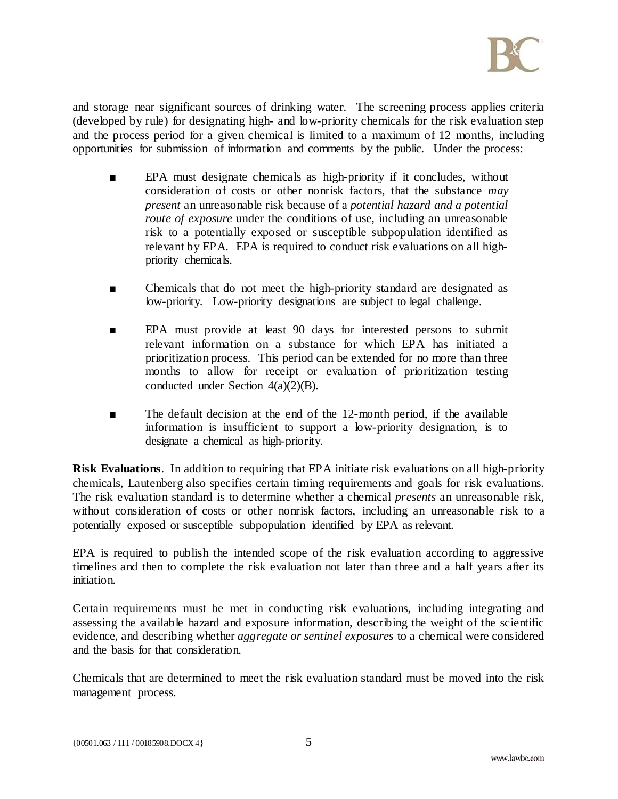

and storage near significant sources of drinking water. The screening process applies criteria (developed by rule) for designating high- and low-priority chemicals for the risk evaluation step and the process period for a given chemical is limited to a maximum of 12 months, including opportunities for submission of information and comments by the public. Under the process:

- EPA must designate chemicals as high-priority if it concludes, without consideration of costs or other nonrisk factors, that the substance *may present* an unreasonable risk because of a *potential hazard and a potential route of exposure* under the conditions of use, including an unreasonable risk to a potentially exposed or susceptible subpopulation identified as relevant by EPA. EPA is required to conduct risk evaluations on all highpriority chemicals.
- Chemicals that do not meet the high-priority standard are designated as low-priority. Low-priority designations are subject to legal challenge.
- EPA must provide at least 90 days for interested persons to submit relevant information on a substance for which EPA has initiated a prioritization process. This period can be extended for no more than three months to allow for receipt or evaluation of prioritization testing conducted under Section 4(a)(2)(B).
- The default decision at the end of the 12-month period, if the available information is insufficient to support a low-priority designation, is to designate a chemical as high-priority.

**Risk Evaluations**. In addition to requiring that EPA initiate risk evaluations on all high-priority chemicals, Lautenberg also specifies certain timing requirements and goals for risk evaluations. The risk evaluation standard is to determine whether a chemical *presents* an unreasonable risk, without consideration of costs or other nonrisk factors, including an unreasonable risk to a potentially exposed or susceptible subpopulation identified by EPA as relevant.

EPA is required to publish the intended scope of the risk evaluation according to aggressive timelines and then to complete the risk evaluation not later than three and a half years after its initiation.

Certain requirements must be met in conducting risk evaluations, including integrating and assessing the available hazard and exposure information, describing the weight of the scientific evidence, and describing whether *aggregate or sentinel exposures* to a chemical were considered and the basis for that consideration.

Chemicals that are determined to meet the risk evaluation standard must be moved into the risk management process.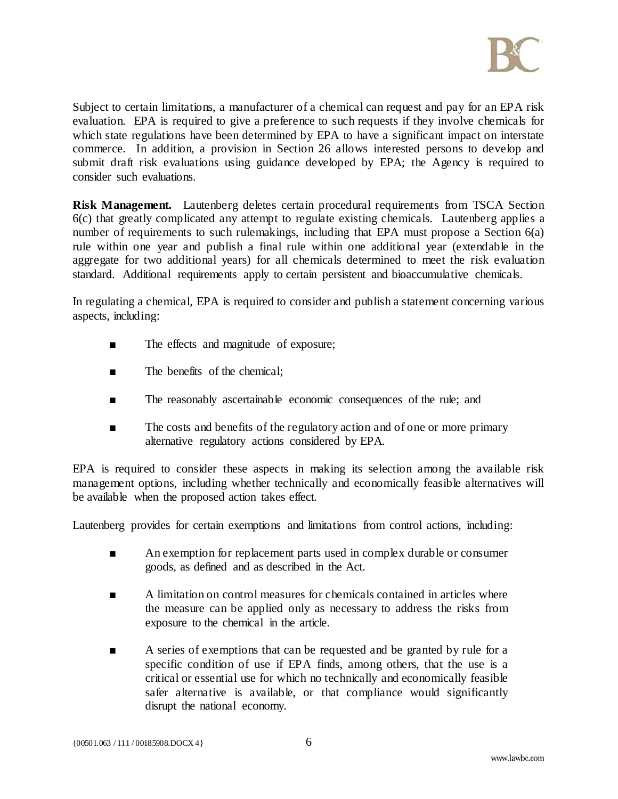

Subject to certain limitations, a manufacturer of a chemical can request and pay for an EPA risk evaluation. EPA is required to give a preference to such requests if they involve chemicals for which state regulations have been determined by EPA to have a significant impact on interstate commerce. In addition, a provision in Section 26 allows interested persons to develop and submit draft risk evaluations using guidance developed by EPA; the Agency is required to consider such evaluations.

**Risk Management.** Lautenberg deletes certain procedural requirements from TSCA Section 6(c) that greatly complicated any attempt to regulate existing chemicals. Lautenberg applies a number of requirements to such rulemakings, including that EPA must propose a Section 6(a) rule within one year and publish a final rule within one additional year (extendable in the aggregate for two additional years) for all chemicals determined to meet the risk evaluation standard. Additional requirements apply to certain persistent and bioaccumulative chemicals.

In regulating a chemical, EPA is required to consider and publish a statement concerning various aspects, including:

- The effects and magnitude of exposure;
- The benefits of the chemical;
- The reasonably ascertainable economic consequences of the rule; and
- The costs and benefits of the regulatory action and of one or more primary alternative regulatory actions considered by EPA.

EPA is required to consider these aspects in making its selection among the available risk management options, including whether technically and economically feasible alternatives will be available when the proposed action takes effect.

Lautenberg provides for certain exemptions and limitations from control actions, including:

- An exemption for replacement parts used in complex durable or consumer goods, as defined and as described in the Act.
- A limitation on control measures for chemicals contained in articles where the measure can be applied only as necessary to address the risks from exposure to the chemical in the article.
- A series of exemptions that can be requested and be granted by rule for a specific condition of use if EPA finds, among others, that the use is a critical or essential use for which no technically and economically feasible safer alternative is available, or that compliance would significantly disrupt the national economy.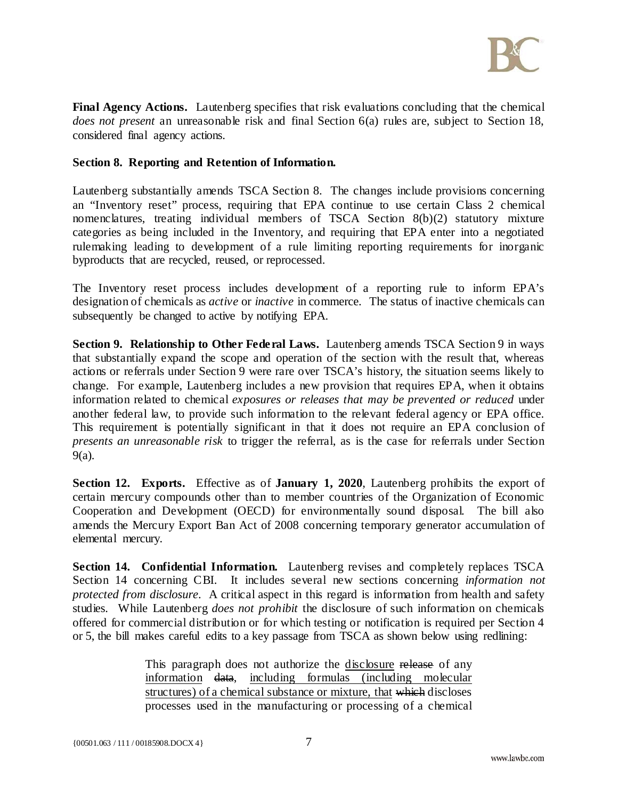

**Final Agency Actions.** Lautenberg specifies that risk evaluations concluding that the chemical *does not present* an unreasonable risk and final Section 6(a) rules are, subject to Section 18, considered final agency actions.

#### **Section 8. Reporting and Retention of Information.**

Lautenberg substantially amends TSCA Section 8. The changes include provisions concerning an "Inventory reset" process, requiring that EPA continue to use certain Class 2 chemical nomenclatures, treating individual members of TSCA Section 8(b)(2) statutory mixture categories as being included in the Inventory, and requiring that EPA enter into a negotiated rulemaking leading to development of a rule limiting reporting requirements for inorganic byproducts that are recycled, reused, or reprocessed.

The Inventory reset process includes development of a reporting rule to inform EPA's designation of chemicals as *active* or *inactive* in commerce. The status of inactive chemicals can subsequently be changed to active by notifying EPA.

**Section 9. Relationship to Other Federal Laws.** Lautenberg amends TSCA Section 9 in ways that substantially expand the scope and operation of the section with the result that, whereas actions or referrals under Section 9 were rare over TSCA's history, the situation seems likely to change. For example, Lautenberg includes a new provision that requires EPA, when it obtains information related to chemical *exposures or releases that may be prevented or reduced* under another federal law, to provide such information to the relevant federal agency or EPA office. This requirement is potentially significant in that it does not require an EPA conclusion of *presents an unreasonable risk* to trigger the referral, as is the case for referrals under Section 9(a).

**Section 12. Exports.** Effective as of **January 1, 2020**, Lautenberg prohibits the export of certain mercury compounds other than to member countries of the Organization of Economic Cooperation and Development (OECD) for environmentally sound disposal. The bill also amends the Mercury Export Ban Act of 2008 concerning temporary generator accumulation of elemental mercury.

**Section 14. Confidential Information.** Lautenberg revises and completely replaces TSCA Section 14 concerning CBI. It includes several new sections concerning *information not protected from disclosure*. A critical aspect in this regard is information from health and safety studies. While Lautenberg *does not prohibit* the disclosure of such information on chemicals offered for commercial distribution or for which testing or notification is required per Section 4 or 5, the bill makes careful edits to a key passage from TSCA as shown below using redlining:

> This paragraph does not authorize the disclosure release of any information data, including formulas (including molecular structures) of a chemical substance or mixture, that which discloses processes used in the manufacturing or processing of a chemical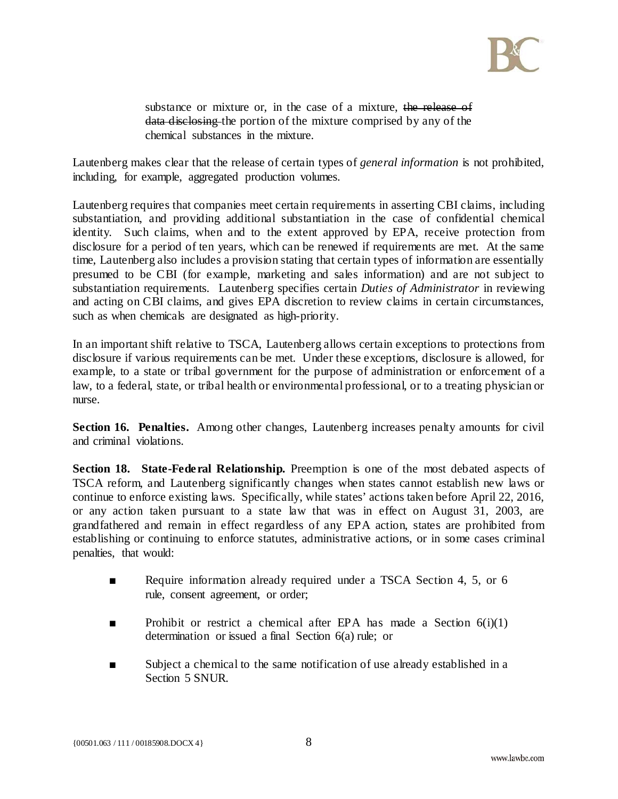

substance or mixture or, in the case of a mixture, the release of data disclosing the portion of the mixture comprised by any of the chemical substances in the mixture.

Lautenberg makes clear that the release of certain types of *general information* is not prohibited, including, for example, aggregated production volumes.

Lautenberg requires that companies meet certain requirements in asserting CBI claims, including substantiation, and providing additional substantiation in the case of confidential chemical identity. Such claims, when and to the extent approved by EPA, receive protection from disclosure for a period of ten years, which can be renewed if requirements are met. At the same time, Lautenberg also includes a provision stating that certain types of information are essentially presumed to be CBI (for example, marketing and sales information) and are not subject to substantiation requirements. Lautenberg specifies certain *Duties of Administrator* in reviewing and acting on CBI claims, and gives EPA discretion to review claims in certain circumstances, such as when chemicals are designated as high-priority.

In an important shift relative to TSCA, Lautenberg allows certain exceptions to protections from disclosure if various requirements can be met. Under these exceptions, disclosure is allowed, for example, to a state or tribal government for the purpose of administration or enforcement of a law, to a federal, state, or tribal health or environmental professional, or to a treating physician or nurse.

**Section 16. Penalties.** Among other changes, Lautenberg increases penalty amounts for civil and criminal violations.

**Section 18. State-Federal Relationship.** Preemption is one of the most debated aspects of TSCA reform, and Lautenberg significantly changes when states cannot establish new laws or continue to enforce existing laws. Specifically, while states' actions taken before April 22, 2016, or any action taken pursuant to a state law that was in effect on August 31, 2003, are grandfathered and remain in effect regardless of any EPA action, states are prohibited from establishing or continuing to enforce statutes, administrative actions, or in some cases criminal penalties, that would:

- Require information already required under a TSCA Section 4, 5, or 6 rule, consent agreement, or order;
- **•** Prohibit or restrict a chemical after EPA has made a Section  $6(i)(1)$ determination or issued a final Section 6(a) rule; or
- Subject a chemical to the same notification of use already established in a Section 5 SNUR.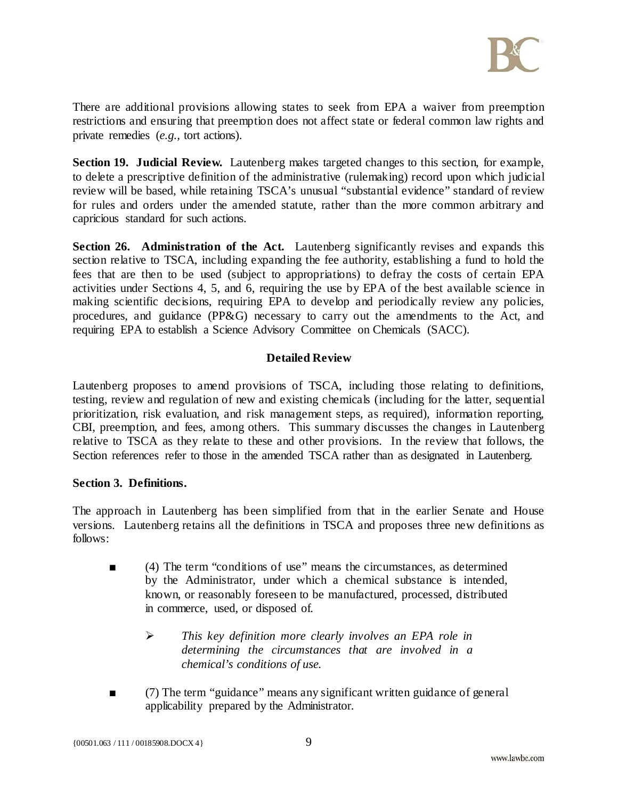

There are additional provisions allowing states to seek from EPA a waiver from preemption restrictions and ensuring that preemption does not affect state or federal common law rights and private remedies (*e.g.,* tort actions).

**Section 19. Judicial Review.** Lautenberg makes targeted changes to this section, for example, to delete a prescriptive definition of the administrative (rulemaking) record upon which judicial review will be based, while retaining TSCA's unusual "substantial evidence" standard of review for rules and orders under the amended statute, rather than the more common arbitrary and capricious standard for such actions.

**Section 26. Administration of the Act.** Lautenberg significantly revises and expands this section relative to TSCA, including expanding the fee authority, establishing a fund to hold the fees that are then to be used (subject to appropriations) to defray the costs of certain EPA activities under Sections 4, 5, and 6, requiring the use by EPA of the best available science in making scientific decisions, requiring EPA to develop and periodically review any policies, procedures, and guidance (PP&G) necessary to carry out the amendments to the Act, and requiring EPA to establish a Science Advisory Committee on Chemicals (SACC).

## **Detailed Review**

Lautenberg proposes to amend provisions of TSCA, including those relating to definitions, testing, review and regulation of new and existing chemicals (including for the latter, sequential prioritization, risk evaluation, and risk management steps, as required), information reporting, CBI, preemption, and fees, among others. This summary discusses the changes in Lautenberg relative to TSCA as they relate to these and other provisions. In the review that follows, the Section references refer to those in the amended TSCA rather than as designated in Lautenberg.

## **Section 3. Definitions.**

The approach in Lautenberg has been simplified from that in the earlier Senate and House versions. Lautenberg retains all the definitions in TSCA and proposes three new definitions as follows:

- (4) The term "conditions of use" means the circumstances, as determined by the Administrator, under which a chemical substance is intended, known, or reasonably foreseen to be manufactured, processed, distributed in commerce, used, or disposed of.
	- *This key definition more clearly involves an EPA role in determining the circumstances that are involved in a chemical's conditions of use.*
- (7) The term "guidance" means any significant written guidance of general applicability prepared by the Administrator.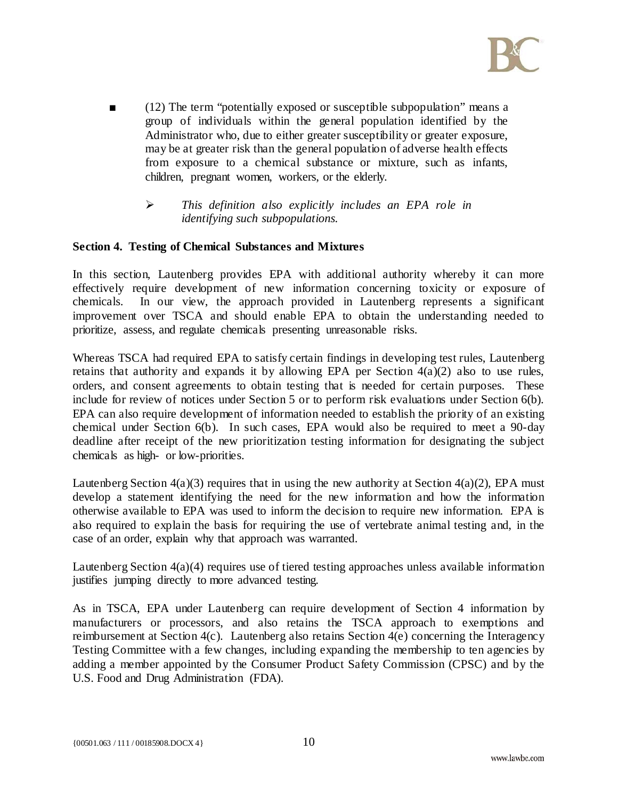

- (12) The term "potentially exposed or susceptible subpopulation" means a group of individuals within the general population identified by the Administrator who, due to either greater susceptibility or greater exposure, may be at greater risk than the general population of adverse health effects from exposure to a chemical substance or mixture, such as infants, children, pregnant women, workers, or the elderly.
	- *This definition also explicitly includes an EPA role in identifying such subpopulations.*

## **Section 4. Testing of Chemical Substances and Mixtures**

In this section, Lautenberg provides EPA with additional authority whereby it can more effectively require development of new information concerning toxicity or exposure of chemicals. In our view, the approach provided in Lautenberg represents a significant improvement over TSCA and should enable EPA to obtain the understanding needed to prioritize, assess, and regulate chemicals presenting unreasonable risks.

Whereas TSCA had required EPA to satisfy certain findings in developing test rules, Lautenberg retains that authority and expands it by allowing EPA per Section  $4(a)(2)$  also to use rules, orders, and consent agreements to obtain testing that is needed for certain purposes. These include for review of notices under Section 5 or to perform risk evaluations under Section 6(b). EPA can also require development of information needed to establish the priority of an existing chemical under Section 6(b). In such cases, EPA would also be required to meet a 90-day deadline after receipt of the new prioritization testing information for designating the subject chemicals as high- or low-priorities.

Lautenberg Section  $4(a)(3)$  requires that in using the new authority at Section  $4(a)(2)$ , EPA must develop a statement identifying the need for the new information and how the information otherwise available to EPA was used to inform the decision to require new information. EPA is also required to explain the basis for requiring the use of vertebrate animal testing and, in the case of an order, explain why that approach was warranted.

Lautenberg Section  $4(a)(4)$  requires use of tiered testing approaches unless available information justifies jumping directly to more advanced testing.

As in TSCA, EPA under Lautenberg can require development of Section 4 information by manufacturers or processors, and also retains the TSCA approach to exemptions and reimbursement at Section 4(c). Lautenberg also retains Section 4(e) concerning the Interagency Testing Committee with a few changes, including expanding the membership to ten agencies by adding a member appointed by the Consumer Product Safety Commission (CPSC) and by the U.S. Food and Drug Administration (FDA).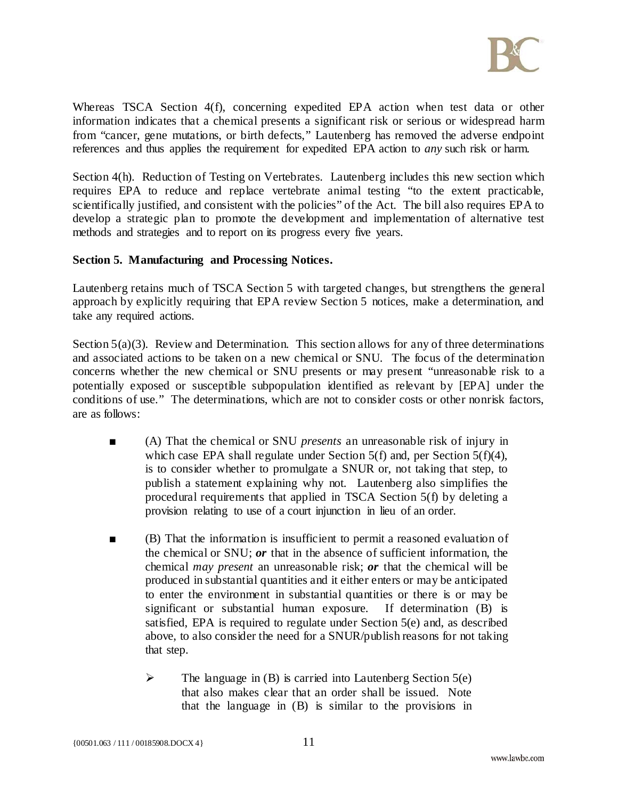

Whereas TSCA Section 4(f), concerning expedited EPA action when test data or other information indicates that a chemical presents a significant risk or serious or widespread harm from "cancer, gene mutations, or birth defects," Lautenberg has removed the adverse endpoint references and thus applies the requirement for expedited EPA action to *any* such risk or harm.

Section 4(h). Reduction of Testing on Vertebrates. Lautenberg includes this new section which requires EPA to reduce and replace vertebrate animal testing "to the extent practicable, scientifically justified, and consistent with the policies" of the Act. The bill also requires EPA to develop a strategic plan to promote the development and implementation of alternative test methods and strategies and to report on its progress every five years.

#### **Section 5. Manufacturing and Processing Notices.**

Lautenberg retains much of TSCA Section 5 with targeted changes, but strengthens the general approach by explicitly requiring that EPA review Section 5 notices, make a determination, and take any required actions.

Section  $5(a)(3)$ . Review and Determination. This section allows for any of three determinations and associated actions to be taken on a new chemical or SNU. The focus of the determination concerns whether the new chemical or SNU presents or may present "unreasonable risk to a potentially exposed or susceptible subpopulation identified as relevant by [EPA] under the conditions of use." The determinations, which are not to consider costs or other nonrisk factors, are as follows:

- (A) That the chemical or SNU *presents* an unreasonable risk of injury in which case EPA shall regulate under Section 5(f) and, per Section 5(f)(4), is to consider whether to promulgate a SNUR or, not taking that step, to publish a statement explaining why not. Lautenberg also simplifies the procedural requirements that applied in TSCA Section 5(f) by deleting a provision relating to use of a court injunction in lieu of an order.
- (B) That the information is insufficient to permit a reasoned evaluation of the chemical or SNU; *or* that in the absence of sufficient information, the chemical *may present* an unreasonable risk; *or* that the chemical will be produced in substantial quantities and it either enters or may be anticipated to enter the environment in substantial quantities or there is or may be significant or substantial human exposure. If determination (B) is satisfied, EPA is required to regulate under Section 5(e) and, as described above, to also consider the need for a SNUR/publish reasons for not taking that step.
	- $\triangleright$  The language in (B) is carried into Lautenberg Section 5(e) that also makes clear that an order shall be issued. Note that the language in (B) is similar to the provisions in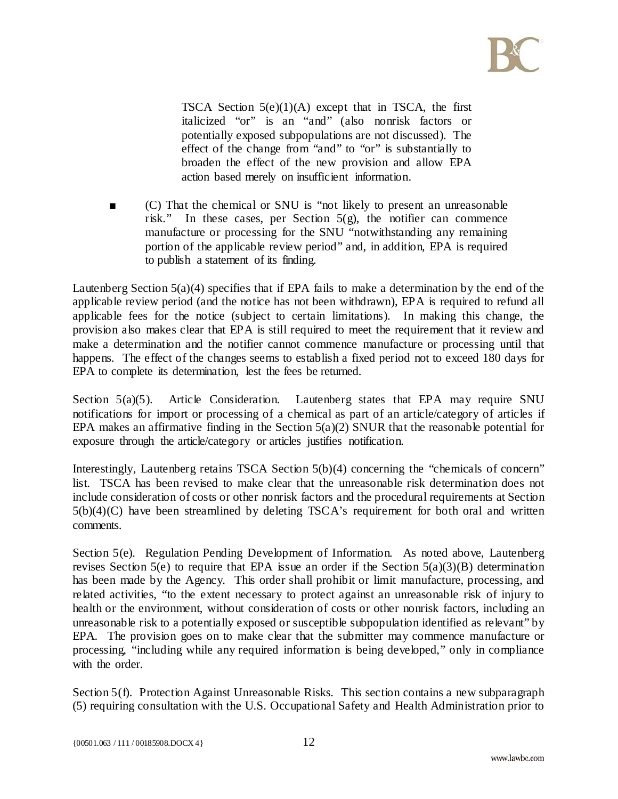

TSCA Section  $5(e)(1)(A)$  except that in TSCA, the first italicized "or" is an "and" (also nonrisk factors or potentially exposed subpopulations are not discussed). The effect of the change from "and" to "or" is substantially to broaden the effect of the new provision and allow EPA action based merely on insufficient information.

 $(C)$  That the chemical or SNU is "not likely to present an unreasonable risk." In these cases, per Section 5(g), the notifier can commence manufacture or processing for the SNU "notwithstanding any remaining portion of the applicable review period" and, in addition, EPA is required to publish a statement of its finding.

Lautenberg Section 5(a)(4) specifies that if EPA fails to make a determination by the end of the applicable review period (and the notice has not been withdrawn), EPA is required to refund all applicable fees for the notice (subject to certain limitations). In making this change, the provision also makes clear that EPA is still required to meet the requirement that it review and make a determination and the notifier cannot commence manufacture or processing until that happens. The effect of the changes seems to establish a fixed period not to exceed 180 days for EPA to complete its determination, lest the fees be returned.

Section  $5(a)(5)$ . Article Consideration. Lautenberg states that EPA may require SNU notifications for import or processing of a chemical as part of an article/category of articles if EPA makes an affirmative finding in the Section  $5(a)(2)$  SNUR that the reasonable potential for exposure through the article/category or articles justifies notification.

Interestingly, Lautenberg retains TSCA Section 5(b)(4) concerning the "chemicals of concern" list. TSCA has been revised to make clear that the unreasonable risk determination does not include consideration of costs or other nonrisk factors and the procedural requirements at Section 5(b)(4)(C) have been streamlined by deleting TSCA's requirement for both oral and written comments.

Section 5(e). Regulation Pending Development of Information. As noted above, Lautenberg revises Section 5(e) to require that EPA issue an order if the Section  $5(a)(3)(B)$  determination has been made by the Agency. This order shall prohibit or limit manufacture, processing, and related activities, "to the extent necessary to protect against an unreasonable risk of injury to health or the environment, without consideration of costs or other nonrisk factors, including an unreasonable risk to a potentially exposed or susceptible subpopulation identified as relevant" by EPA. The provision goes on to make clear that the submitter may commence manufacture or processing, "including while any required information is being developed," only in compliance with the order.

Section 5(f). Protection Against Unreasonable Risks. This section contains a new subparagraph (5) requiring consultation with the U.S. Occupational Safety and Health Administration prior to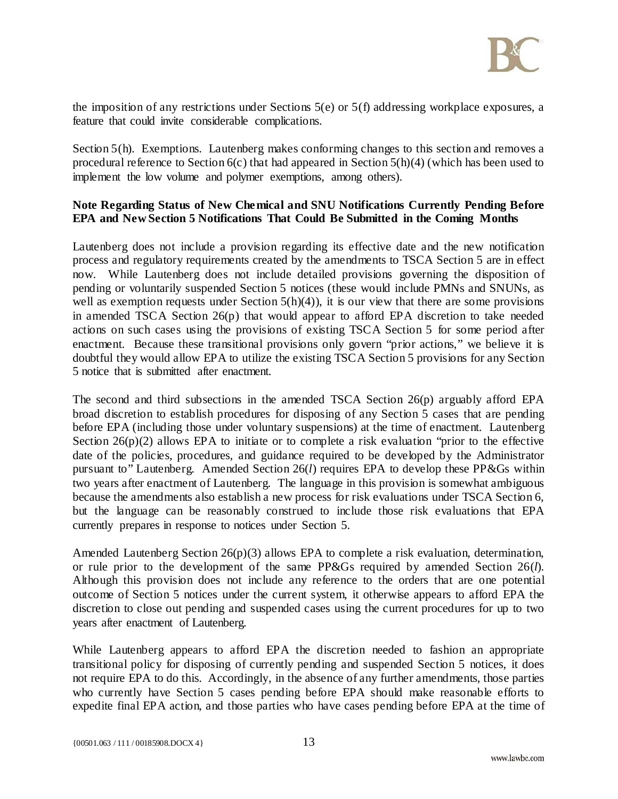

the imposition of any restrictions under Sections 5(e) or 5(f) addressing workplace exposures, a feature that could invite considerable complications.

Section 5(h). Exemptions. Lautenberg makes conforming changes to this section and removes a procedural reference to Section 6(c) that had appeared in Section 5(h)(4) (which has been used to implement the low volume and polymer exemptions, among others).

## **Note Regarding Status of New Chemical and SNU Notifications Currently Pending Before EPA and New Section 5 Notifications That Could Be Submitted in the Coming Months**

Lautenberg does not include a provision regarding its effective date and the new notification process and regulatory requirements created by the amendments to TSCA Section 5 are in effect now. While Lautenberg does not include detailed provisions governing the disposition of pending or voluntarily suspended Section 5 notices (these would include PMNs and SNUNs, as well as exemption requests under Section  $5(h)(4)$ , it is our view that there are some provisions in amended TSCA Section 26(p) that would appear to afford EPA discretion to take needed actions on such cases using the provisions of existing TSCA Section 5 for some period after enactment. Because these transitional provisions only govern "prior actions," we believe it is doubtful they would allow EPA to utilize the existing TSCA Section 5 provisions for any Section 5 notice that is submitted after enactment.

The second and third subsections in the amended TSCA Section 26(p) arguably afford EPA broad discretion to establish procedures for disposing of any Section 5 cases that are pending before EPA (including those under voluntary suspensions) at the time of enactment. Lautenberg Section 26(p)(2) allows EPA to initiate or to complete a risk evaluation "prior to the effective date of the policies, procedures, and guidance required to be developed by the Administrator pursuant to" Lautenberg. Amended Section 26(*l*) requires EPA to develop these PP&Gs within two years after enactment of Lautenberg. The language in this provision is somewhat ambiguous because the amendments also establish a new process for risk evaluations under TSCA Section 6, but the language can be reasonably construed to include those risk evaluations that EPA currently prepares in response to notices under Section 5.

Amended Lautenberg Section 26(p)(3) allows EPA to complete a risk evaluation, determination, or rule prior to the development of the same PP&Gs required by amended Section 26(*l*). Although this provision does not include any reference to the orders that are one potential outcome of Section 5 notices under the current system, it otherwise appears to afford EPA the discretion to close out pending and suspended cases using the current procedures for up to two years after enactment of Lautenberg.

While Lautenberg appears to afford EPA the discretion needed to fashion an appropriate transitional policy for disposing of currently pending and suspended Section 5 notices, it does not require EPA to do this. Accordingly, in the absence of any further amendments, those parties who currently have Section 5 cases pending before EPA should make reasonable efforts to expedite final EPA action, and those parties who have cases pending before EPA at the time of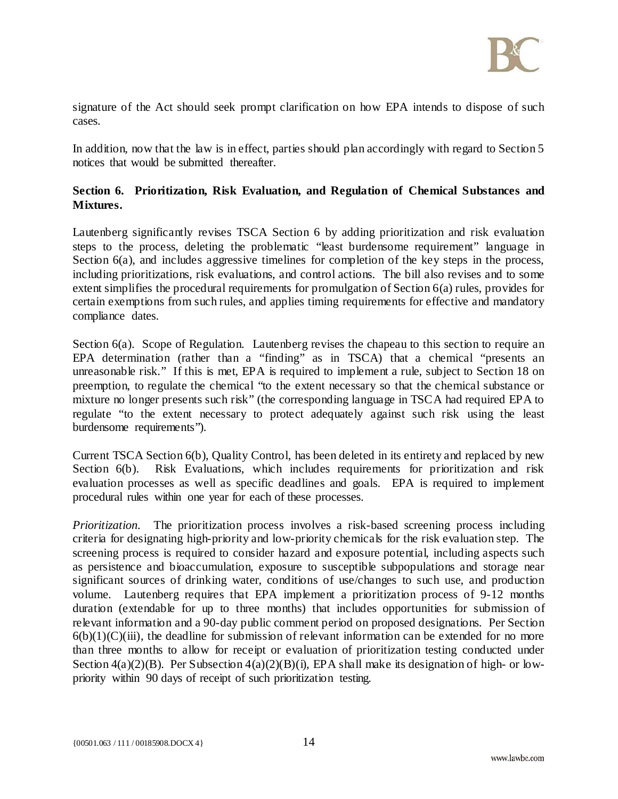

signature of the Act should seek prompt clarification on how EPA intends to dispose of such cases.

In addition, now that the law is in effect, parties should plan accordingly with regard to Section 5 notices that would be submitted thereafter.

# **Section 6. Prioritization, Risk Evaluation, and Regulation of Chemical Substances and Mixtures.**

Lautenberg significantly revises TSCA Section 6 by adding prioritization and risk evaluation steps to the process, deleting the problematic "least burdensome requirement" language in Section 6(a), and includes aggressive timelines for completion of the key steps in the process, including prioritizations, risk evaluations, and control actions. The bill also revises and to some extent simplifies the procedural requirements for promulgation of Section 6(a) rules, provides for certain exemptions from such rules, and applies timing requirements for effective and mandatory compliance dates.

Section 6(a). Scope of Regulation. Lautenberg revises the chapeau to this section to require an EPA determination (rather than a "finding" as in TSCA) that a chemical "presents an unreasonable risk." If this is met, EPA is required to implement a rule, subject to Section 18 on preemption, to regulate the chemical "to the extent necessary so that the chemical substance or mixture no longer presents such risk" (the corresponding language in TSCA had required EPA to regulate "to the extent necessary to protect adequately against such risk using the least burdensome requirements").

Current TSCA Section 6(b), Quality Control, has been deleted in its entirety and replaced by new Section 6(b). Risk Evaluations, which includes requirements for prioritization and risk evaluation processes as well as specific deadlines and goals. EPA is required to implement procedural rules within one year for each of these processes.

*Prioritization.* The prioritization process involves a risk-based screening process including criteria for designating high-priority and low-priority chemicals for the risk evaluation step. The screening process is required to consider hazard and exposure potential, including aspects such as persistence and bioaccumulation, exposure to susceptible subpopulations and storage near significant sources of drinking water, conditions of use/changes to such use, and production volume. Lautenberg requires that EPA implement a prioritization process of 9-12 months duration (extendable for up to three months) that includes opportunities for submission of relevant information and a 90-day public comment period on proposed designations. Per Section  $6(b)(1)(C)(iii)$ , the deadline for submission of relevant information can be extended for no more than three months to allow for receipt or evaluation of prioritization testing conducted under Section  $4(a)(2)(B)$ . Per Subsection  $4(a)(2)(B)(i)$ , EPA shall make its designation of high- or lowpriority within 90 days of receipt of such prioritization testing.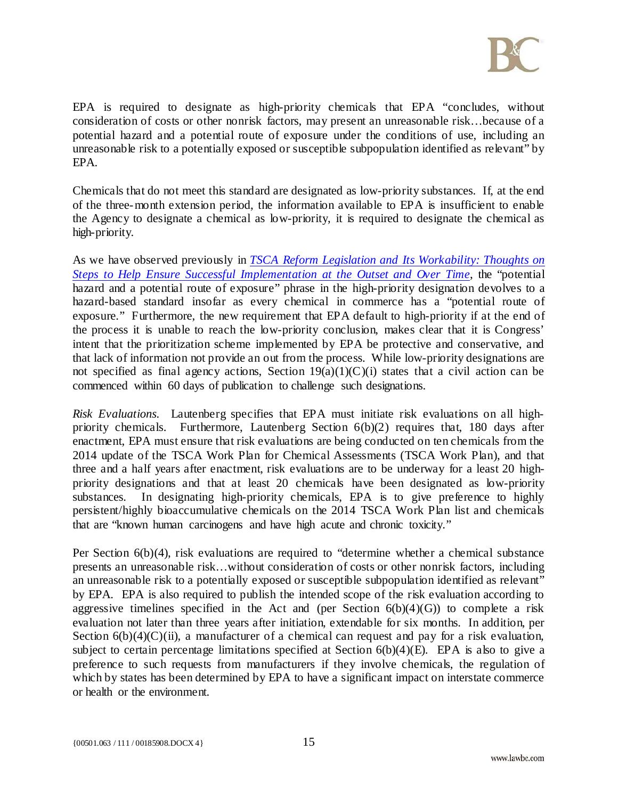

EPA is required to designate as high-priority chemicals that EPA "concludes, without consideration of costs or other nonrisk factors, may present an unreasonable risk…because of a potential hazard and a potential route of exposure under the conditions of use, including an unreasonable risk to a potentially exposed or susceptible subpopulation identified as relevant" by EPA.

Chemicals that do not meet this standard are designated as low-priority substances. If, at the end of the three-month extension period, the information available to EPA is insufficient to enable the Agency to designate a chemical as low-priority, it is required to designate the chemical as high-priority.

As we have observed previously in *[TSCA Reform Legislation and Its Workability: Thoughts on](http://www.lawbc.com/uploads/docs/TSCA_Reform_Legislation_and_Its_Workability._Thoughts_on_Steps_to_Help_Ensure_%2800162952%29.pdf)  [Steps to Help Ensure Successful Implementation at the Outset and Over Time](http://www.lawbc.com/uploads/docs/TSCA_Reform_Legislation_and_Its_Workability._Thoughts_on_Steps_to_Help_Ensure_%2800162952%29.pdf)*, the "potential hazard and a potential route of exposure" phrase in the high-priority designation devolves to a hazard-based standard insofar as every chemical in commerce has a "potential route of exposure." Furthermore, the new requirement that EPA default to high-priority if at the end of the process it is unable to reach the low-priority conclusion, makes clear that it is Congress' intent that the prioritization scheme implemented by EPA be protective and conservative, and that lack of information not provide an out from the process. While low-priority designations are not specified as final agency actions, Section  $19(a)(1)(C)(i)$  states that a civil action can be commenced within 60 days of publication to challenge such designations.

*Risk Evaluations.* Lautenberg specifies that EPA must initiate risk evaluations on all highpriority chemicals. Furthermore, Lautenberg Section 6(b)(2) requires that, 180 days after enactment, EPA must ensure that risk evaluations are being conducted on ten chemicals from the 2014 update of the TSCA Work Plan for Chemical Assessments (TSCA Work Plan), and that three and a half years after enactment, risk evaluations are to be underway for a least 20 highpriority designations and that at least 20 chemicals have been designated as low-priority substances. In designating high-priority chemicals, EPA is to give preference to highly persistent/highly bioaccumulative chemicals on the 2014 TSCA Work Plan list and chemicals that are "known human carcinogens and have high acute and chronic toxicity."

Per Section 6(b)(4), risk evaluations are required to "determine whether a chemical substance presents an unreasonable risk…without consideration of costs or other nonrisk factors, including an unreasonable risk to a potentially exposed or susceptible subpopulation identified as relevant" by EPA. EPA is also required to publish the intended scope of the risk evaluation according to aggressive timelines specified in the Act and (per Section  $6(b)(4)(G)$ ) to complete a risk evaluation not later than three years after initiation, extendable for six months. In addition, per Section  $6(b)(4)(C)(ii)$ , a manufacturer of a chemical can request and pay for a risk evaluation, subject to certain percentage limitations specified at Section  $6(b)(4)(E)$ . EPA is also to give a preference to such requests from manufacturers if they involve chemicals, the regulation of which by states has been determined by EPA to have a significant impact on interstate commerce or health or the environment.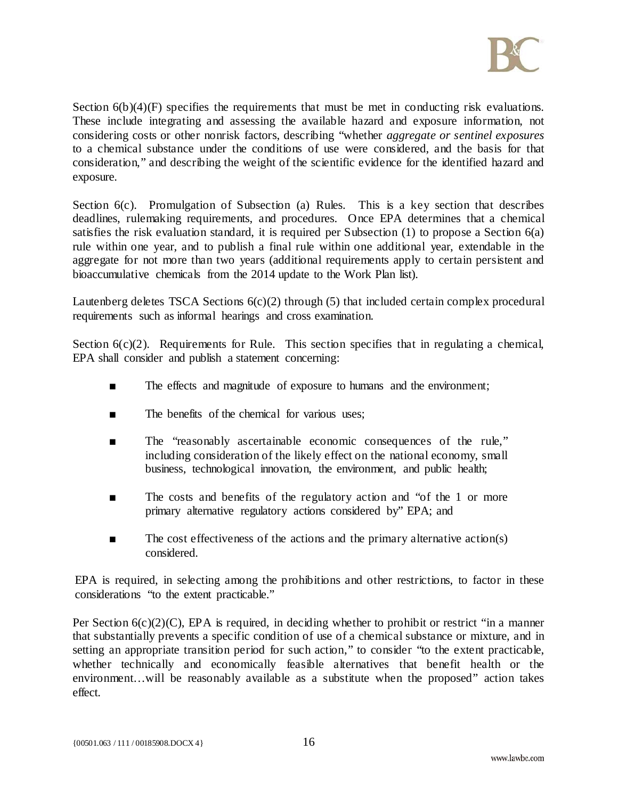

Section  $6(b)(4)(F)$  specifies the requirements that must be met in conducting risk evaluations. These include integrating and assessing the available hazard and exposure information, not considering costs or other nonrisk factors, describing "whether *aggregate or sentinel exposures* to a chemical substance under the conditions of use were considered, and the basis for that consideration," and describing the weight of the scientific evidence for the identified hazard and exposure.

Section 6(c). Promulgation of Subsection (a) Rules. This is a key section that describes deadlines, rulemaking requirements, and procedures. Once EPA determines that a chemical satisfies the risk evaluation standard, it is required per Subsection (1) to propose a Section 6(a) rule within one year, and to publish a final rule within one additional year, extendable in the aggregate for not more than two years (additional requirements apply to certain persistent and bioaccumulative chemicals from the 2014 update to the Work Plan list).

Lautenberg deletes TSCA Sections 6(c)(2) through (5) that included certain complex procedural requirements such as informal hearings and cross examination.

Section  $6(c)(2)$ . Requirements for Rule. This section specifies that in regulating a chemical, EPA shall consider and publish a statement concerning:

- The effects and magnitude of exposure to humans and the environment;
- The benefits of the chemical for various uses:
- The "reasonably ascertainable economic consequences of the rule," including consideration of the likely effect on the national economy, small business, technological innovation, the environment, and public health;
- The costs and benefits of the regulatory action and "of the 1 or more primary alternative regulatory actions considered by" EPA; and
- The cost effectiveness of the actions and the primary alternative action(s) considered.

EPA is required, in selecting among the prohibitions and other restrictions, to factor in these considerations "to the extent practicable."

Per Section  $6(c)(2)(C)$ , EPA is required, in deciding whether to prohibit or restrict "in a manner" that substantially prevents a specific condition of use of a chemical substance or mixture, and in setting an appropriate transition period for such action," to consider "to the extent practicable, whether technically and economically feasible alternatives that benefit health or the environment…will be reasonably available as a substitute when the proposed" action takes effect.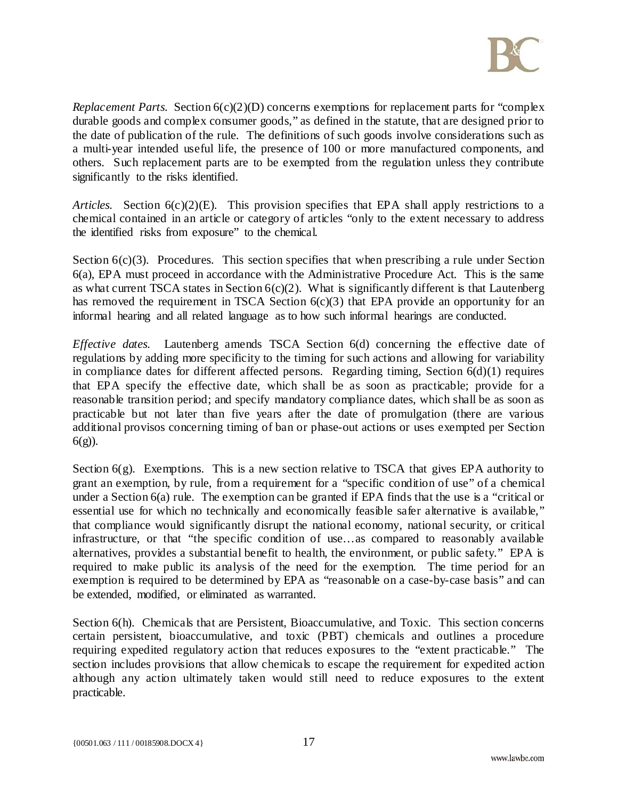

*Replacement Parts.* Section  $6(c)(2)(D)$  concerns exemptions for replacement parts for "complex" durable goods and complex consumer goods," as defined in the statute, that are designed prior to the date of publication of the rule. The definitions of such goods involve considerations such as a multi-year intended useful life, the presence of 100 or more manufactured components, and others. Such replacement parts are to be exempted from the regulation unless they contribute significantly to the risks identified.

*Articles.* Section 6(c)(2)(E). This provision specifies that EPA shall apply restrictions to a chemical contained in an article or category of articles "only to the extent necessary to address the identified risks from exposure" to the chemical.

Section  $6(c)(3)$ . Procedures. This section specifies that when prescribing a rule under Section 6(a), EPA must proceed in accordance with the Administrative Procedure Act. This is the same as what current TSCA states in Section  $6(c)(2)$ . What is significantly different is that Lautenberg has removed the requirement in TSCA Section  $6(c)(3)$  that EPA provide an opportunity for an informal hearing and all related language as to how such informal hearings are conducted.

*Effective dates.* Lautenberg amends TSCA Section 6(d) concerning the effective date of regulations by adding more specificity to the timing for such actions and allowing for variability in compliance dates for different affected persons. Regarding timing, Section 6(d)(1) requires that EPA specify the effective date, which shall be as soon as practicable; provide for a reasonable transition period; and specify mandatory compliance dates, which shall be as soon as practicable but not later than five years after the date of promulgation (there are various additional provisos concerning timing of ban or phase-out actions or uses exempted per Section 6(g)).

Section  $6(g)$ . Exemptions. This is a new section relative to TSCA that gives EPA authority to grant an exemption, by rule, from a requirement for a "specific condition of use" of a chemical under a Section 6(a) rule. The exemption can be granted if EPA finds that the use is a "critical or essential use for which no technically and economically feasible safer alternative is available," that compliance would significantly disrupt the national economy, national security, or critical infrastructure, or that "the specific condition of use…as compared to reasonably available alternatives, provides a substantial benefit to health, the environment, or public safety." EPA is required to make public its analysis of the need for the exemption. The time period for an exemption is required to be determined by EPA as "reasonable on a case-by-case basis" and can be extended, modified, or eliminated as warranted.

Section 6(h). Chemicals that are Persistent, Bioaccumulative, and Toxic. This section concerns certain persistent, bioaccumulative, and toxic (PBT) chemicals and outlines a procedure requiring expedited regulatory action that reduces exposures to the "extent practicable." The section includes provisions that allow chemicals to escape the requirement for expedited action although any action ultimately taken would still need to reduce exposures to the extent practicable.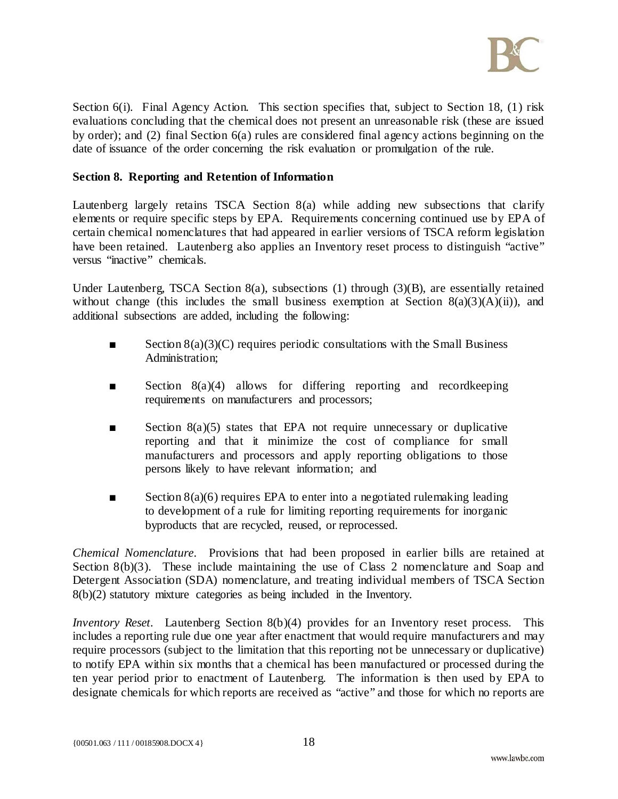

Section 6(i). Final Agency Action. This section specifies that, subject to Section 18, (1) risk evaluations concluding that the chemical does not present an unreasonable risk (these are issued by order); and (2) final Section 6(a) rules are considered final agency actions beginning on the date of issuance of the order concerning the risk evaluation or promulgation of the rule.

#### **Section 8. Reporting and Retention of Information**

Lautenberg largely retains TSCA Section 8(a) while adding new subsections that clarify elements or require specific steps by EPA. Requirements concerning continued use by EPA of certain chemical nomenclatures that had appeared in earlier versions of TSCA reform legislation have been retained. Lautenberg also applies an Inventory reset process to distinguish "active" versus "inactive" chemicals.

Under Lautenberg, TSCA Section 8(a), subsections (1) through (3)(B), are essentially retained without change (this includes the small business exemption at Section  $8(a)(3)(A)(ii)$ ), and additional subsections are added, including the following:

- $\blacksquare$  Section 8(a)(3)(C) requires periodic consultations with the Small Business Administration:
- Section 8(a)(4) allows for differing reporting and recordkeeping requirements on manufacturers and processors;
- Section 8(a)(5) states that EPA not require unnecessary or duplicative reporting and that it minimize the cost of compliance for small manufacturers and processors and apply reporting obligations to those persons likely to have relevant information; and
- Section  $8(a)(6)$  requires EPA to enter into a negotiated rulemaking leading to development of a rule for limiting reporting requirements for inorganic byproducts that are recycled, reused, or reprocessed.

*Chemical Nomenclature*. Provisions that had been proposed in earlier bills are retained at Section 8(b)(3). These include maintaining the use of Class 2 nomenclature and Soap and Detergent Association (SDA) nomenclature, and treating individual members of TSCA Section 8(b)(2) statutory mixture categories as being included in the Inventory.

*Inventory Reset.* Lautenberg Section 8(b)(4) provides for an Inventory reset process. This includes a reporting rule due one year after enactment that would require manufacturers and may require processors (subject to the limitation that this reporting not be unnecessary or duplicative) to notify EPA within six months that a chemical has been manufactured or processed during the ten year period prior to enactment of Lautenberg. The information is then used by EPA to designate chemicals for which reports are received as "active" and those for which no reports are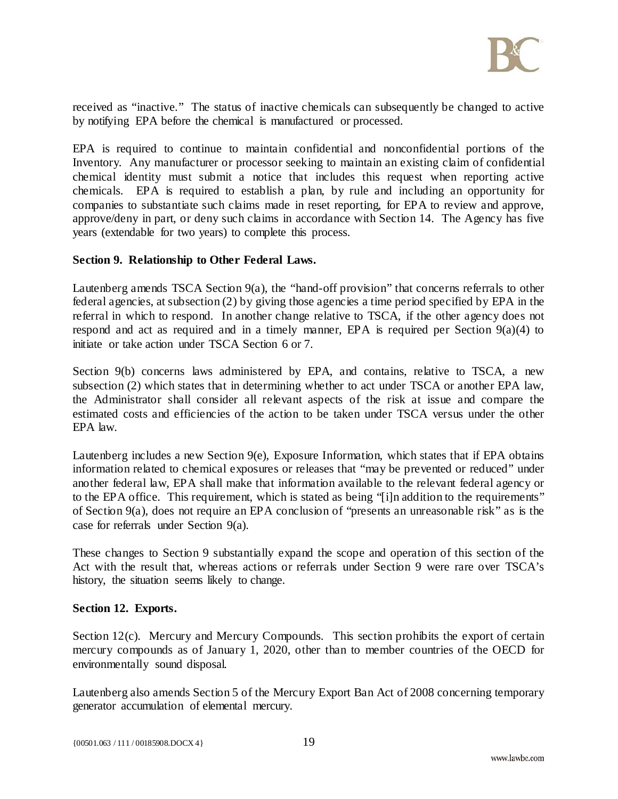

received as "inactive." The status of inactive chemicals can subsequently be changed to active by notifying EPA before the chemical is manufactured or processed.

EPA is required to continue to maintain confidential and nonconfidential portions of the Inventory. Any manufacturer or processor seeking to maintain an existing claim of confidential chemical identity must submit a notice that includes this request when reporting active chemicals. EPA is required to establish a plan, by rule and including an opportunity for companies to substantiate such claims made in reset reporting, for EPA to review and approve, approve/deny in part, or deny such claims in accordance with Section 14. The Agency has five years (extendable for two years) to complete this process.

#### **Section 9. Relationship to Other Federal Laws.**

Lautenberg amends TSCA Section 9(a), the "hand-off provision" that concerns referrals to other federal agencies, at subsection (2) by giving those agencies a time period specified by EPA in the referral in which to respond. In another change relative to TSCA, if the other agency does not respond and act as required and in a timely manner, EPA is required per Section 9(a)(4) to initiate or take action under TSCA Section 6 or 7.

Section 9(b) concerns laws administered by EPA, and contains, relative to TSCA, a new subsection (2) which states that in determining whether to act under TSCA or another EPA law, the Administrator shall consider all relevant aspects of the risk at issue and compare the estimated costs and efficiencies of the action to be taken under TSCA versus under the other EPA law.

Lautenberg includes a new Section 9(e), Exposure Information, which states that if EPA obtains information related to chemical exposures or releases that "may be prevented or reduced" under another federal law, EPA shall make that information available to the relevant federal agency or to the EPA office. This requirement, which is stated as being "[i]n addition to the requirements" of Section 9(a), does not require an EPA conclusion of "presents an unreasonable risk" as is the case for referrals under Section 9(a).

These changes to Section 9 substantially expand the scope and operation of this section of the Act with the result that, whereas actions or referrals under Section 9 were rare over TSCA's history, the situation seems likely to change.

#### **Section 12. Exports.**

Section 12(c). Mercury and Mercury Compounds. This section prohibits the export of certain mercury compounds as of January 1, 2020, other than to member countries of the OECD for environmentally sound disposal.

Lautenberg also amends Section 5 of the Mercury Export Ban Act of 2008 concerning temporary generator accumulation of elemental mercury.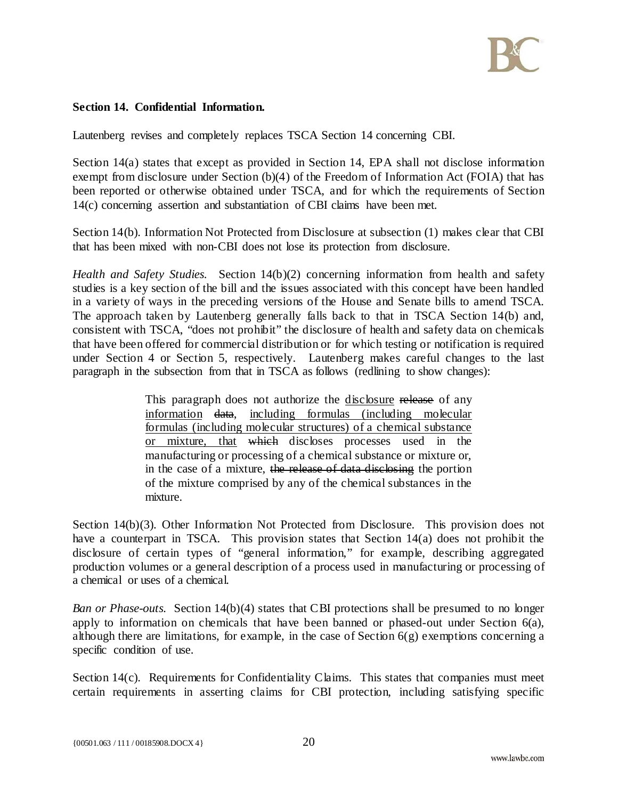

### **Section 14. Confidential Information.**

Lautenberg revises and completely replaces TSCA Section 14 concerning CBI.

Section 14(a) states that except as provided in Section 14, EPA shall not disclose information exempt from disclosure under Section (b)(4) of the Freedom of Information Act (FOIA) that has been reported or otherwise obtained under TSCA, and for which the requirements of Section 14(c) concerning assertion and substantiation of CBI claims have been met.

Section 14(b). Information Not Protected from Disclosure at subsection (1) makes clear that CBI that has been mixed with non-CBI does not lose its protection from disclosure.

*Health and Safety Studies.* Section 14(b)(2) concerning information from health and safety studies is a key section of the bill and the issues associated with this concept have been handled in a variety of ways in the preceding versions of the House and Senate bills to amend TSCA. The approach taken by Lautenberg generally falls back to that in TSCA Section 14(b) and, consistent with TSCA, "does not prohibit" the disclosure of health and safety data on chemicals that have been offered for commercial distribution or for which testing or notification is required under Section 4 or Section 5, respectively. Lautenberg makes careful changes to the last paragraph in the subsection from that in TSCA as follows (redlining to show changes):

> This paragraph does not authorize the disclosure release of any information data, including formulas (including molecular formulas (including molecular structures) of a chemical substance or mixture, that which discloses processes used in the manufacturing or processing of a chemical substance or mixture or, in the case of a mixture, the release of data disclosing the portion of the mixture comprised by any of the chemical substances in the mixture.

Section 14(b)(3). Other Information Not Protected from Disclosure. This provision does not have a counterpart in TSCA. This provision states that Section 14(a) does not prohibit the disclosure of certain types of "general information," for example, describing aggregated production volumes or a general description of a process used in manufacturing or processing of a chemical or uses of a chemical.

*Ban or Phase-outs.* Section 14(b)(4) states that CBI protections shall be presumed to no longer apply to information on chemicals that have been banned or phased-out under Section 6(a), although there are limitations, for example, in the case of Section  $6(g)$  exemptions concerning a specific condition of use.

Section 14(c). Requirements for Confidentiality Claims. This states that companies must meet certain requirements in asserting claims for CBI protection, including satisfying specific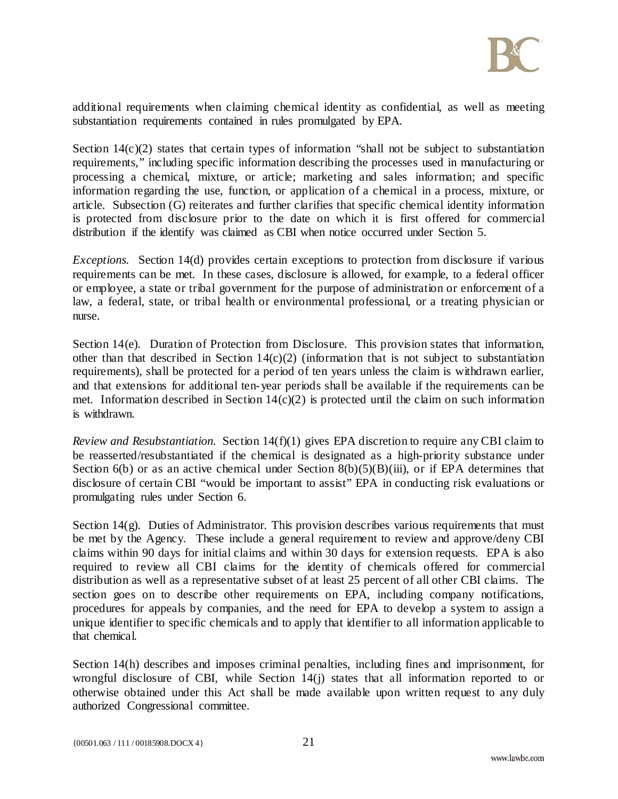

additional requirements when claiming chemical identity as confidential, as well as meeting substantiation requirements contained in rules promulgated by EPA.

Section 14(c)(2) states that certain types of information "shall not be subject to substantiation requirements," including specific information describing the processes used in manufacturing or processing a chemical, mixture, or article; marketing and sales information; and specific information regarding the use, function, or application of a chemical in a process, mixture, or article. Subsection (G) reiterates and further clarifies that specific chemical identity information is protected from disclosure prior to the date on which it is first offered for commercial distribution if the identify was claimed as CBI when notice occurred under Section 5.

*Exceptions.* Section 14(d) provides certain exceptions to protection from disclosure if various requirements can be met. In these cases, disclosure is allowed, for example, to a federal officer or employee, a state or tribal government for the purpose of administration or enforcement of a law, a federal, state, or tribal health or environmental professional, or a treating physician or nurse.

Section 14(e). Duration of Protection from Disclosure. This provision states that information, other than that described in Section  $14(c)(2)$  (information that is not subject to substantiation requirements), shall be protected for a period of ten years unless the claim is withdrawn earlier, and that extensions for additional ten-year periods shall be available if the requirements can be met. Information described in Section  $14(c)(2)$  is protected until the claim on such information is withdrawn.

*Review and Resubstantiation.* Section 14(f)(1) gives EPA discretion to require any CBI claim to be reasserted/resubstantiated if the chemical is designated as a high-priority substance under Section  $6(b)$  or as an active chemical under Section  $8(b)(5)(B)(iii)$ , or if EPA determines that disclosure of certain CBI "would be important to assist" EPA in conducting risk evaluations or promulgating rules under Section 6.

Section 14(g). Duties of Administrator. This provision describes various requirements that must be met by the Agency. These include a general requirement to review and approve/deny CBI claims within 90 days for initial claims and within 30 days for extension requests. EPA is also required to review all CBI claims for the identity of chemicals offered for commercial distribution as well as a representative subset of at least 25 percent of all other CBI claims. The section goes on to describe other requirements on EPA, including company notifications, procedures for appeals by companies, and the need for EPA to develop a system to assign a unique identifier to specific chemicals and to apply that identifier to all information applicable to that chemical.

Section 14(h) describes and imposes criminal penalties, including fines and imprisonment, for wrongful disclosure of CBI, while Section 14(j) states that all information reported to or otherwise obtained under this Act shall be made available upon written request to any duly authorized Congressional committee.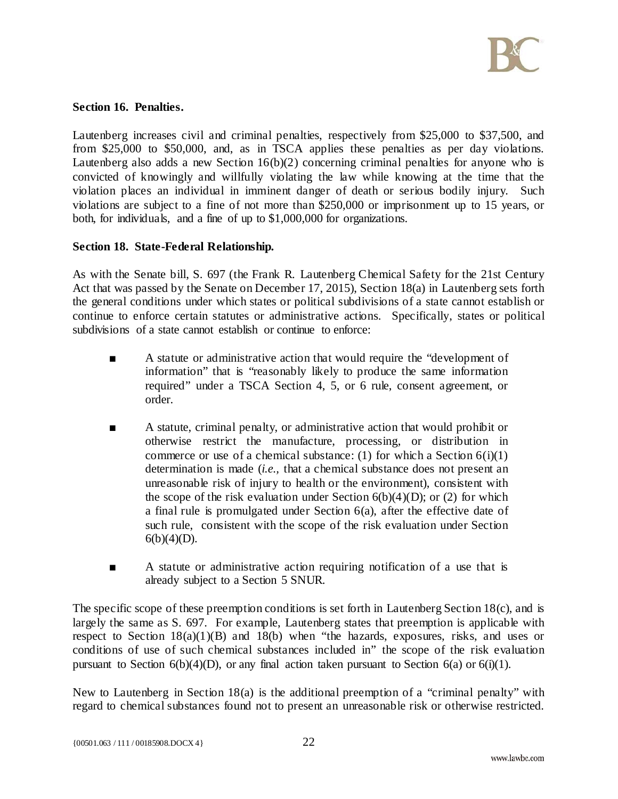

#### **Section 16. Penalties.**

Lautenberg increases civil and criminal penalties, respectively from \$25,000 to \$37,500, and from \$25,000 to \$50,000, and, as in TSCA applies these penalties as per day violations. Lautenberg also adds a new Section  $16(b)(2)$  concerning criminal penalties for anyone who is convicted of knowingly and willfully violating the law while knowing at the time that the violation places an individual in imminent danger of death or serious bodily injury. Such violations are subject to a fine of not more than \$250,000 or imprisonment up to 15 years, or both, for individuals, and a fine of up to \$1,000,000 for organizations.

#### **Section 18. State-Federal Relationship.**

As with the Senate bill, S. 697 (the Frank R. Lautenberg Chemical Safety for the 21st Century Act that was passed by the Senate on December 17, 2015), Section 18(a) in Lautenberg sets forth the general conditions under which states or political subdivisions of a state cannot establish or continue to enforce certain statutes or administrative actions. Specifically, states or political subdivisions of a state cannot establish or continue to enforce:

- A statute or administrative action that would require the "development of information" that is "reasonably likely to produce the same information required" under a TSCA Section 4, 5, or 6 rule, consent agreement, or order.
- A statute, criminal penalty, or administrative action that would prohibit or otherwise restrict the manufacture, processing, or distribution in commerce or use of a chemical substance: (1) for which a Section  $6(i)(1)$ determination is made (*i.e.,* that a chemical substance does not present an unreasonable risk of injury to health or the environment), consistent with the scope of the risk evaluation under Section  $6(b)(4)(D)$ ; or (2) for which a final rule is promulgated under Section 6(a), after the effective date of such rule, consistent with the scope of the risk evaluation under Section  $6(b)(4)(D)$ .
- A statute or administrative action requiring notification of a use that is already subject to a Section 5 SNUR.

The specific scope of these preemption conditions is set forth in Lautenberg Section 18(c), and is largely the same as S. 697. For example, Lautenberg states that preemption is applicable with respect to Section 18(a)(1)(B) and 18(b) when "the hazards, exposures, risks, and uses or conditions of use of such chemical substances included in" the scope of the risk evaluation pursuant to Section  $6(b)(4)(D)$ , or any final action taken pursuant to Section  $6(a)$  or  $6(i)(1)$ .

New to Lautenberg in Section 18(a) is the additional preemption of a "criminal penalty" with regard to chemical substances found not to present an unreasonable risk or otherwise restricted.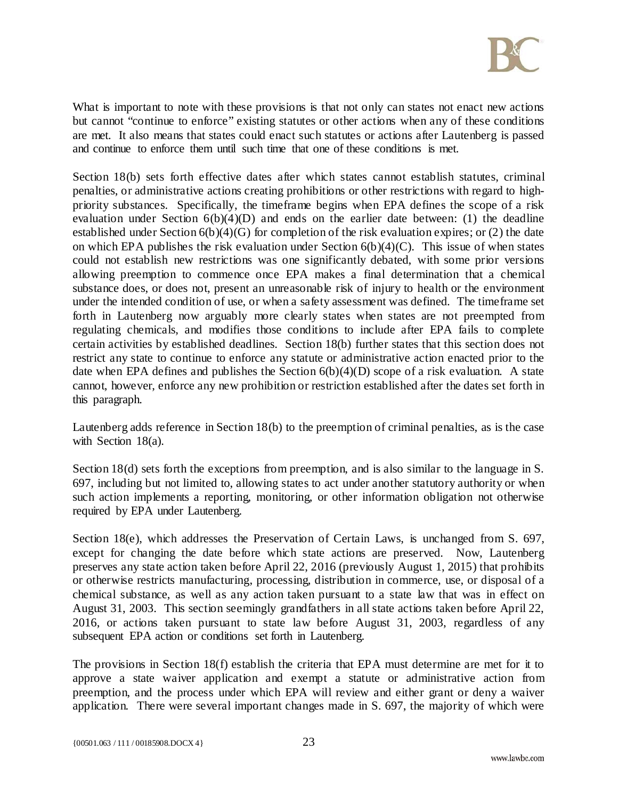

What is important to note with these provisions is that not only can states not enact new actions but cannot "continue to enforce" existing statutes or other actions when any of these conditions are met. It also means that states could enact such statutes or actions after Lautenberg is passed and continue to enforce them until such time that one of these conditions is met.

Section 18(b) sets forth effective dates after which states cannot establish statutes, criminal penalties, or administrative actions creating prohibitions or other restrictions with regard to highpriority substances. Specifically, the timeframe begins when EPA defines the scope of a risk evaluation under Section 6(b)(4)(D) and ends on the earlier date between: (1) the deadline established under Section 6(b)(4)(G) for completion of the risk evaluation expires; or (2) the date on which EPA publishes the risk evaluation under Section  $6(b)(4)(C)$ . This issue of when states could not establish new restrictions was one significantly debated, with some prior versions allowing preemption to commence once EPA makes a final determination that a chemical substance does, or does not, present an unreasonable risk of injury to health or the environment under the intended condition of use, or when a safety assessment was defined. The timeframe set forth in Lautenberg now arguably more clearly states when states are not preempted from regulating chemicals, and modifies those conditions to include after EPA fails to complete certain activities by established deadlines. Section 18(b) further states that this section does not restrict any state to continue to enforce any statute or administrative action enacted prior to the date when EPA defines and publishes the Section 6(b)(4)(D) scope of a risk evaluation. A state cannot, however, enforce any new prohibition or restriction established after the dates set forth in this paragraph.

Lautenberg adds reference in Section 18(b) to the preemption of criminal penalties, as is the case with Section 18(a).

Section 18(d) sets forth the exceptions from preemption, and is also similar to the language in S. 697, including but not limited to, allowing states to act under another statutory authority or when such action implements a reporting, monitoring, or other information obligation not otherwise required by EPA under Lautenberg.

Section 18(e), which addresses the Preservation of Certain Laws, is unchanged from S. 697, except for changing the date before which state actions are preserved. Now, Lautenberg preserves any state action taken before April 22, 2016 (previously August 1, 2015) that prohibits or otherwise restricts manufacturing, processing, distribution in commerce, use, or disposal of a chemical substance, as well as any action taken pursuant to a state law that was in effect on August 31, 2003. This section seemingly grandfathers in all state actions taken before April 22, 2016, or actions taken pursuant to state law before August 31, 2003, regardless of any subsequent EPA action or conditions set forth in Lautenberg.

The provisions in Section 18(f) establish the criteria that EPA must determine are met for it to approve a state waiver application and exempt a statute or administrative action from preemption, and the process under which EPA will review and either grant or deny a waiver application. There were several important changes made in S. 697, the majority of which were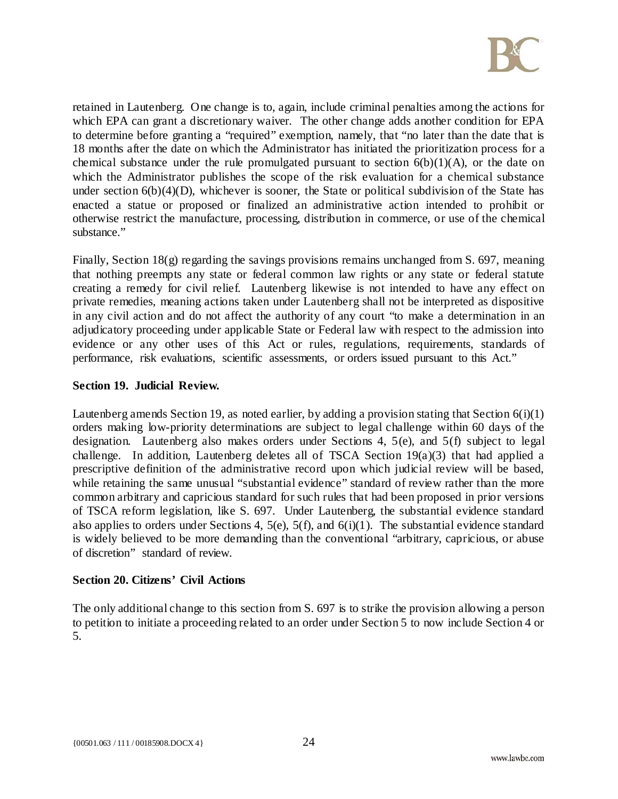

retained in Lautenberg. One change is to, again, include criminal penalties among the actions for which EPA can grant a discretionary waiver. The other change adds another condition for EPA to determine before granting a "required" exemption, namely, that "no later than the date that is 18 months after the date on which the Administrator has initiated the prioritization process for a chemical substance under the rule promulgated pursuant to section  $6(b)(1)(A)$ , or the date on which the Administrator publishes the scope of the risk evaluation for a chemical substance under section  $6(b)(4)(D)$ , whichever is sooner, the State or political subdivision of the State has enacted a statue or proposed or finalized an administrative action intended to prohibit or otherwise restrict the manufacture, processing, distribution in commerce, or use of the chemical substance."

Finally, Section 18(g) regarding the savings provisions remains unchanged from S. 697, meaning that nothing preempts any state or federal common law rights or any state or federal statute creating a remedy for civil relief. Lautenberg likewise is not intended to have any effect on private remedies, meaning actions taken under Lautenberg shall not be interpreted as dispositive in any civil action and do not affect the authority of any court "to make a determination in an adjudicatory proceeding under applicable State or Federal law with respect to the admission into evidence or any other uses of this Act or rules, regulations, requirements, standards of performance, risk evaluations, scientific assessments, or orders issued pursuant to this Act."

## **Section 19. Judicial Review.**

Lautenberg amends Section 19, as noted earlier, by adding a provision stating that Section 6(i)(1) orders making low-priority determinations are subject to legal challenge within 60 days of the designation. Lautenberg also makes orders under Sections 4, 5(e), and 5(f) subject to legal challenge. In addition, Lautenberg deletes all of TSCA Section 19(a)(3) that had applied a prescriptive definition of the administrative record upon which judicial review will be based, while retaining the same unusual "substantial evidence" standard of review rather than the more common arbitrary and capricious standard for such rules that had been proposed in prior versions of TSCA reform legislation, like S. 697. Under Lautenberg, the substantial evidence standard also applies to orders under Sections 4,  $5(e)$ ,  $5(f)$ , and  $6(i)(1)$ . The substantial evidence standard is widely believed to be more demanding than the conventional "arbitrary, capricious, or abuse of discretion" standard of review.

## **Section 20. Citizens' Civil Actions**

The only additional change to this section from S. 697 is to strike the provision allowing a person to petition to initiate a proceeding related to an order under Section 5 to now include Section 4 or 5.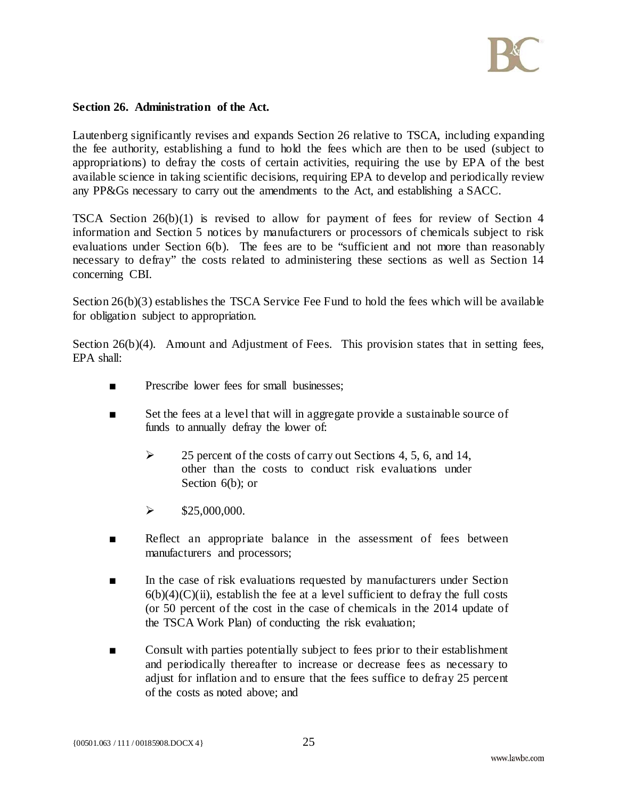

#### **Section 26. Administration of the Act.**

Lautenberg significantly revises and expands Section 26 relative to TSCA, including expanding the fee authority, establishing a fund to hold the fees which are then to be used (subject to appropriations) to defray the costs of certain activities, requiring the use by EPA of the best available science in taking scientific decisions, requiring EPA to develop and periodically review any PP&Gs necessary to carry out the amendments to the Act, and establishing a SACC.

TSCA Section 26(b)(1) is revised to allow for payment of fees for review of Section 4 information and Section 5 notices by manufacturers or processors of chemicals subject to risk evaluations under Section 6(b). The fees are to be "sufficient and not more than reasonably necessary to defray" the costs related to administering these sections as well as Section 14 concerning CBI.

Section 26(b)(3) establishes the TSCA Service Fee Fund to hold the fees which will be available for obligation subject to appropriation.

Section 26(b)(4). Amount and Adjustment of Fees. This provision states that in setting fees,  $EPA$  shall:

- Prescribe lower fees for small businesses:
- Set the fees at a level that will in aggregate provide a sustainable source of funds to annually defray the lower of:
	- $\geq$  25 percent of the costs of carry out Sections 4, 5, 6, and 14, other than the costs to conduct risk evaluations under Section 6(b); or
	- $\blacktriangleright$  \$25,000,000.
- Reflect an appropriate balance in the assessment of fees between manufacturers and processors;
- In the case of risk evaluations requested by manufacturers under Section  $6(b)(4)(C)(ii)$ , establish the fee at a level sufficient to defray the full costs (or 50 percent of the cost in the case of chemicals in the 2014 update of the TSCA Work Plan) of conducting the risk evaluation;
- Consult with parties potentially subject to fees prior to their establishment and periodically thereafter to increase or decrease fees as necessary to adjust for inflation and to ensure that the fees suffice to defray 25 percent of the costs as noted above; and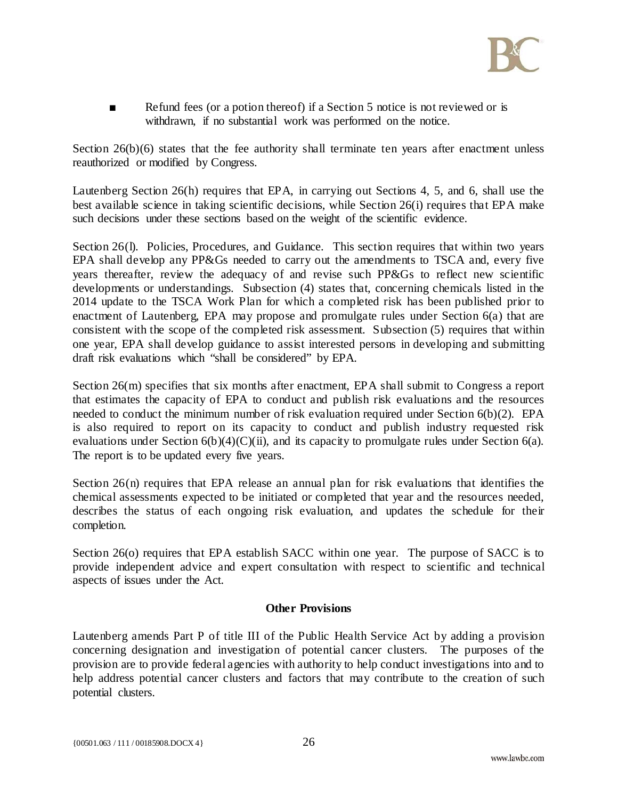

■ Refund fees (or a potion thereof) if a Section 5 notice is not reviewed or is withdrawn, if no substantial work was performed on the notice.

Section 26(b)(6) states that the fee authority shall terminate ten years after enactment unless reauthorized or modified by Congress.

Lautenberg Section 26(h) requires that EPA, in carrying out Sections 4, 5, and 6, shall use the best available science in taking scientific decisions, while Section 26(i) requires that EPA make such decisions under these sections based on the weight of the scientific evidence.

Section 26(I). Policies, Procedures, and Guidance. This section requires that within two years EPA shall develop any PP&Gs needed to carry out the amendments to TSCA and, every five years thereafter, review the adequacy of and revise such PP&Gs to reflect new scientific developments or understandings. Subsection (4) states that, concerning chemicals listed in the 2014 update to the TSCA Work Plan for which a completed risk has been published prior to enactment of Lautenberg, EPA may propose and promulgate rules under Section 6(a) that are consistent with the scope of the completed risk assessment. Subsection (5) requires that within one year, EPA shall develop guidance to assist interested persons in developing and submitting draft risk evaluations which "shall be considered" by EPA.

Section 26(m) specifies that six months after enactment, EPA shall submit to Congress a report that estimates the capacity of EPA to conduct and publish risk evaluations and the resources needed to conduct the minimum number of risk evaluation required under Section 6(b)(2). EPA is also required to report on its capacity to conduct and publish industry requested risk evaluations under Section  $6(b)(4)(C)(ii)$ , and its capacity to promulgate rules under Section  $6(a)$ . The report is to be updated every five years.

Section  $26(n)$  requires that EPA release an annual plan for risk evaluations that identifies the chemical assessments expected to be initiated or completed that year and the resources needed, describes the status of each ongoing risk evaluation, and updates the schedule for their completion.

Section 26(o) requires that EPA establish SACC within one year. The purpose of SACC is to provide independent advice and expert consultation with respect to scientific and technical aspects of issues under the Act.

## **Other Provisions**

Lautenberg amends Part P of title III of the Public Health Service Act by adding a provision concerning designation and investigation of potential cancer clusters. The purposes of the provision are to provide federal agencies with authority to help conduct investigations into and to help address potential cancer clusters and factors that may contribute to the creation of such potential clusters.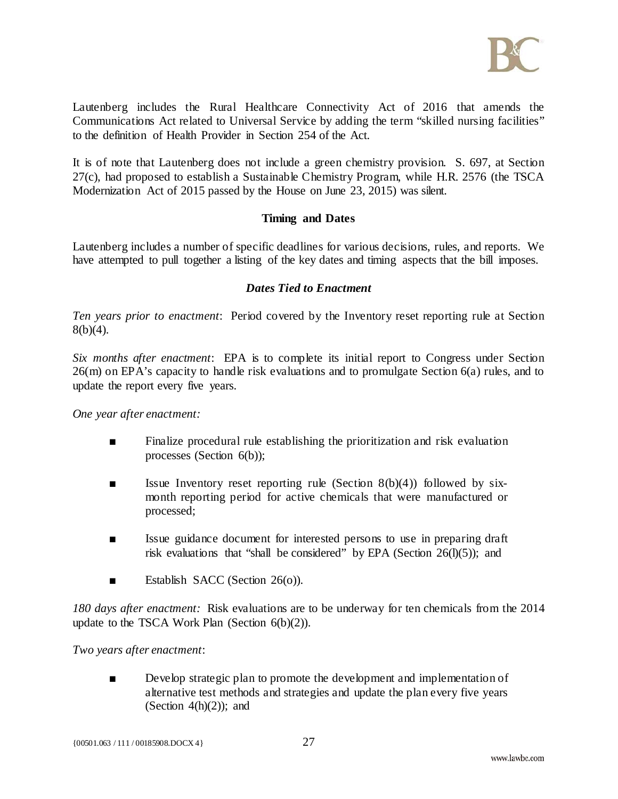

Lautenberg includes the Rural Healthcare Connectivity Act of 2016 that amends the Communications Act related to Universal Service by adding the term "skilled nursing facilities" to the definition of Health Provider in Section 254 of the Act.

It is of note that Lautenberg does not include a green chemistry provision. S. 697, at Section 27(c), had proposed to establish a Sustainable Chemistry Program, while H.R. 2576 (the TSCA Modernization Act of 2015 passed by the House on June 23, 2015) was silent.

## **Timing and Dates**

Lautenberg includes a number of specific deadlines for various decisions, rules, and reports. We have attempted to pull together a listing of the key dates and timing aspects that the bill imposes.

## *Dates Tied to Enactment*

*Ten years prior to enactment*: Period covered by the Inventory reset reporting rule at Section 8(b)(4).

*Six months after enactment*: EPA is to complete its initial report to Congress under Section 26(m) on EPA's capacity to handle risk evaluations and to promulgate Section 6(a) rules, and to update the report every five years.

*One year after enactment:*

- Finalize procedural rule establishing the prioritization and risk evaluation processes (Section 6(b));
- $\blacksquare$  Issue Inventory reset reporting rule (Section 8(b)(4)) followed by sixmonth reporting period for active chemicals that were manufactured or processed;
- Issue guidance document for interested persons to use in preparing draft risk evaluations that "shall be considered" by EPA (Section  $26(I)(5)$ ); and
- Establish SACC (Section 26(o)).

*180 days after enactment:* Risk evaluations are to be underway for ten chemicals from the 2014 update to the TSCA Work Plan (Section 6(b)(2)).

## *Two years after enactment*:

■ Develop strategic plan to promote the development and implementation of alternative test methods and strategies and update the plan every five years (Section  $4(h)(2)$ ); and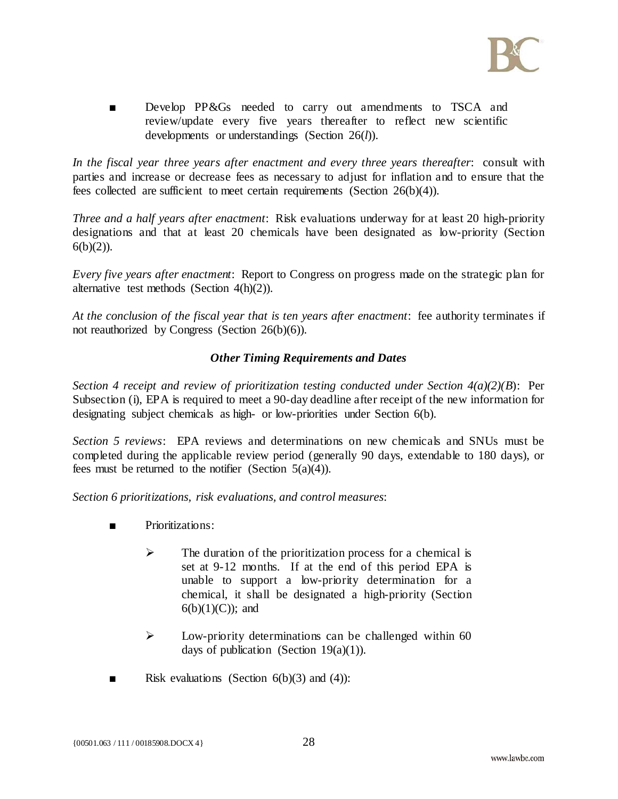

■ Develop PP&Gs needed to carry out amendments to TSCA and review/update every five years thereafter to reflect new scientific developments or understandings (Section 26(*l*)).

*In the fiscal year three years after enactment and every three years thereafter*: consult with parties and increase or decrease fees as necessary to adjust for inflation and to ensure that the fees collected are sufficient to meet certain requirements (Section 26(b)(4)).

*Three and a half years after enactment*: Risk evaluations underway for at least 20 high-priority designations and that at least 20 chemicals have been designated as low-priority (Section  $6(b)(2)$ ).

*Every five years after enactment*: Report to Congress on progress made on the strategic plan for alternative test methods (Section 4(h)(2)).

*At the conclusion of the fiscal year that is ten years after enactment*: fee authority terminates if not reauthorized by Congress (Section 26(b)(6)).

## *Other Timing Requirements and Dates*

*Section 4 receipt and review of prioritization testing conducted under Section 4(a)(2)(B*): Per Subsection (i), EPA is required to meet a 90-day deadline after receipt of the new information for designating subject chemicals as high- or low-priorities under Section 6(b).

*Section 5 reviews*: EPA reviews and determinations on new chemicals and SNUs must be completed during the applicable review period (generally 90 days, extendable to 180 days), or fees must be returned to the notifier (Section  $5(a)(4)$ ).

*Section 6 prioritizations, risk evaluations, and control measures*:

- Prioritizations:
	- $\triangleright$  The duration of the prioritization process for a chemical is set at 9-12 months. If at the end of this period EPA is unable to support a low-priority determination for a chemical, it shall be designated a high-priority (Section  $6(b)(1)(C)$ ; and
	- $\triangleright$  Low-priority determinations can be challenged within 60 days of publication (Section 19 $(a)(1)$ ).
- **Example 1** Risk evaluations (Section 6(b)(3) and (4)):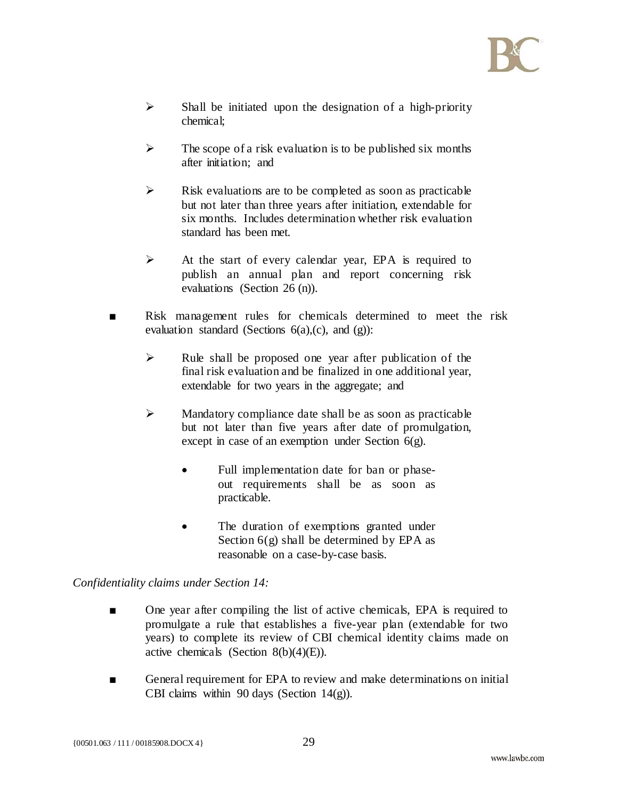

- $\triangleright$  Shall be initiated upon the designation of a high-priority chemical;
- $\triangleright$  The scope of a risk evaluation is to be published six months after initiation; and
- $\triangleright$  Risk evaluations are to be completed as soon as practicable but not later than three years after initiation, extendable for six months. Includes determination whether risk evaluation standard has been met.
- $\triangleright$  At the start of every calendar year, EPA is required to publish an annual plan and report concerning risk evaluations (Section 26 (n)).
- Risk management rules for chemicals determined to meet the risk evaluation standard (Sections 6(a),(c), and (g)):
	- $\triangleright$  Rule shall be proposed one year after publication of the final risk evaluation and be finalized in one additional year, extendable for two years in the aggregate; and
	- $\triangleright$  Mandatory compliance date shall be as soon as practicable but not later than five years after date of promulgation, except in case of an exemption under Section 6(g).
		- Full implementation date for ban or phaseout requirements shall be as soon as practicable.
		- The duration of exemptions granted under Section  $6(g)$  shall be determined by EPA as reasonable on a case-by-case basis.

# *Confidentiality claims under Section 14:*

- One year after compiling the list of active chemicals, EPA is required to promulgate a rule that establishes a five-year plan (extendable for two years) to complete its review of CBI chemical identity claims made on active chemicals (Section  $8(b)(4)(E)$ ).
- General requirement for EPA to review and make determinations on initial CBI claims within 90 days (Section 14(g)).